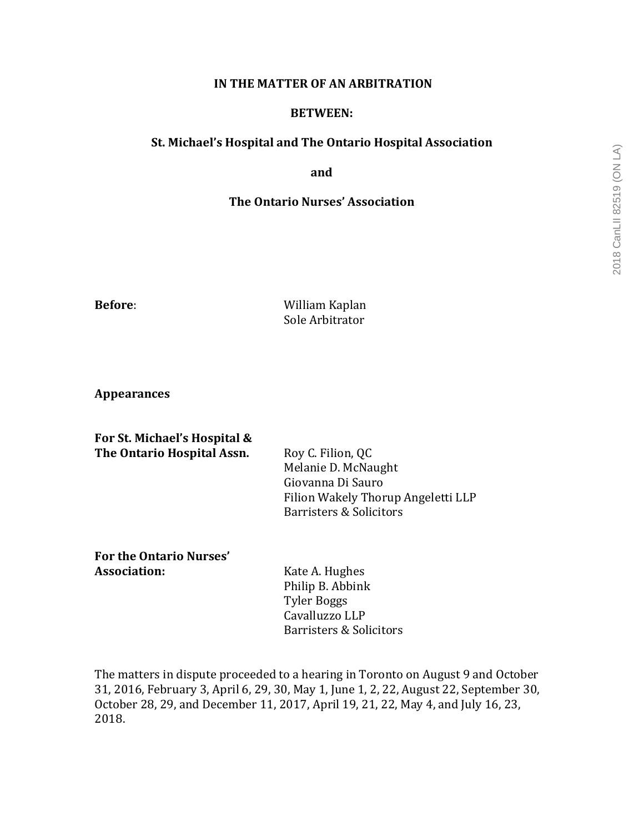# 2018 CanLII 82519 (ON LA) 2018 CanLII 82519 (ON LA)

### **IN THE MATTER OF AN ARBITRATION**

## **BETWEEN:**

# **St. Michael's Hospital and The Ontario Hospital Association**

**and**

# **The Ontario Nurses' Association**

**Before:** William Kaplan Sole Arbitrator

**Appearances**

| For St. Michael's Hospital & |                                    |
|------------------------------|------------------------------------|
| The Ontario Hospital Assn.   | Roy C. Filion, QC                  |
|                              | Melanie D. McNaught                |
|                              | Giovanna Di Sauro                  |
|                              | Filion Wakely Thorup Angeletti LLP |
|                              | Barristers & Solicitors            |
|                              |                                    |

# For the Ontario Nurses' **Association:** Kate A. Hughes

Philip B. Abbink Tyler Boggs Cavalluzzo LLP Barristers & Solicitors

The matters in dispute proceeded to a hearing in Toronto on August 9 and October 31, 2016, February 3, April 6, 29, 30, May 1, June 1, 2, 22, August 22, September 30, October 28, 29, and December 11, 2017, April 19, 21, 22, May 4, and July 16, 23, 2018.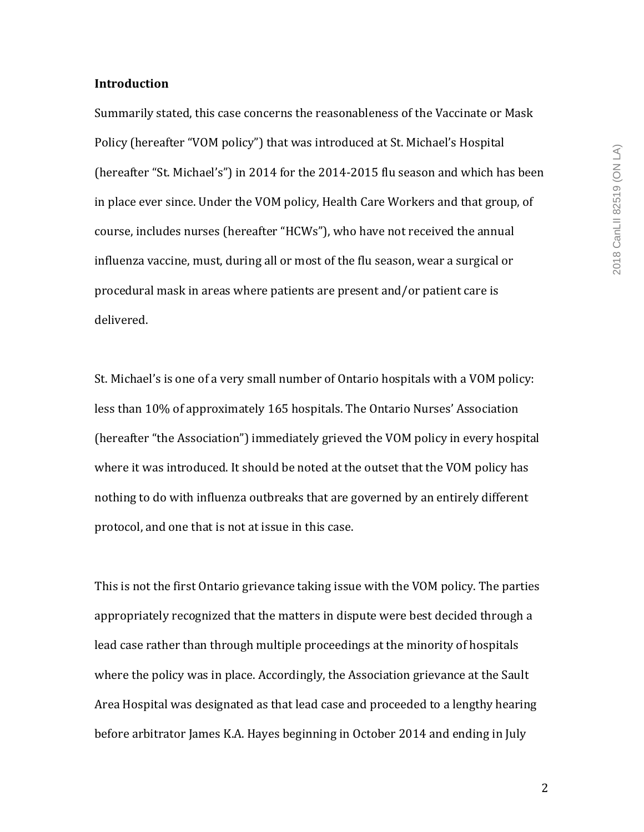## **Introduction**

Summarily stated, this case concerns the reasonableness of the Vaccinate or Mask Policy (hereafter "VOM policy") that was introduced at St. Michael's Hospital (hereafter "St. Michael's") in 2014 for the  $2014$ -2015 flu season and which has been in place ever since. Under the VOM policy, Health Care Workers and that group, of course, includes nurses (hereafter "HCWs"), who have not received the annual influenza vaccine, must, during all or most of the flu season, wear a surgical or procedural mask in areas where patients are present and/or patient care is delivered.

St. Michael's is one of a very small number of Ontario hospitals with a VOM policy: less than 10% of approximately 165 hospitals. The Ontario Nurses' Association (hereafter "the Association") immediately grieved the VOM policy in every hospital where it was introduced. It should be noted at the outset that the VOM policy has nothing to do with influenza outbreaks that are governed by an entirely different protocol, and one that is not at issue in this case.

This is not the first Ontario grievance taking issue with the VOM policy. The parties appropriately recognized that the matters in dispute were best decided through a lead case rather than through multiple proceedings at the minority of hospitals where the policy was in place. Accordingly, the Association grievance at the Sault Area Hospital was designated as that lead case and proceeded to a lengthy hearing before arbitrator James K.A. Hayes beginning in October 2014 and ending in July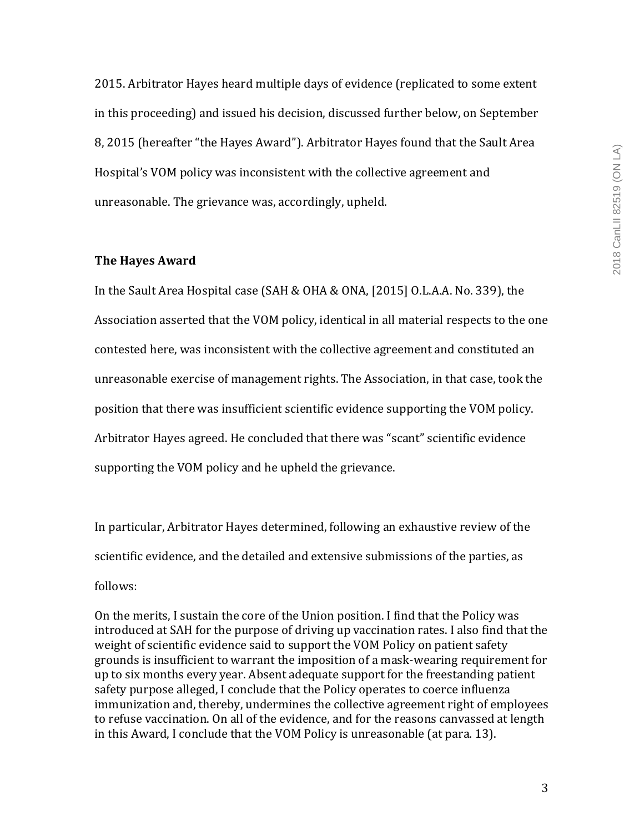2015. Arbitrator Hayes heard multiple days of evidence (replicated to some extent in this proceeding) and issued his decision, discussed further below, on September 8, 2015 (hereafter "the Hayes Award"). Arbitrator Hayes found that the Sault Area Hospital's VOM policy was inconsistent with the collective agreement and unreasonable. The grievance was, accordingly, upheld.

# **The Hayes Award**

In the Sault Area Hospital case  $(SAH & OHA & ONA, [2015]$  O.L.A.A. No. 339), the Association asserted that the VOM policy, identical in all material respects to the one contested here, was inconsistent with the collective agreement and constituted an unreasonable exercise of management rights. The Association, in that case, took the position that there was insufficient scientific evidence supporting the VOM policy. Arbitrator Hayes agreed. He concluded that there was "scant" scientific evidence supporting the VOM policy and he upheld the grievance.

In particular, Arbitrator Hayes determined, following an exhaustive review of the scientific evidence, and the detailed and extensive submissions of the parties, as follows:

On the merits, I sustain the core of the Union position. I find that the Policy was introduced at SAH for the purpose of driving up vaccination rates. I also find that the weight of scientific evidence said to support the VOM Policy on patient safety grounds is insufficient to warrant the imposition of a mask-wearing requirement for up to six months every year. Absent adequate support for the freestanding patient safety purpose alleged, I conclude that the Policy operates to coerce influenza immunization and, thereby, undermines the collective agreement right of employees to refuse vaccination. On all of the evidence, and for the reasons canvassed at length in this Award, I conclude that the VOM Policy is unreasonable (at para. 13).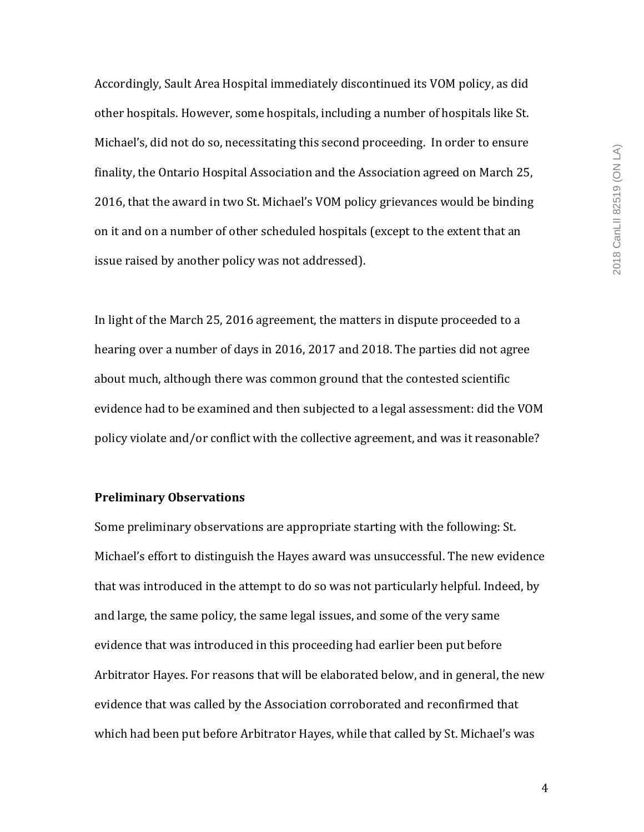Accordingly, Sault Area Hospital immediately discontinued its VOM policy, as did other hospitals. However, some hospitals, including a number of hospitals like St. Michael's, did not do so, necessitating this second proceeding. In order to ensure finality, the Ontario Hospital Association and the Association agreed on March 25, 2016, that the award in two St. Michael's VOM policy grievances would be binding on it and on a number of other scheduled hospitals (except to the extent that an issue raised by another policy was not addressed).

In light of the March 25, 2016 agreement, the matters in dispute proceeded to a hearing over a number of days in 2016, 2017 and 2018. The parties did not agree about much, although there was common ground that the contested scientific evidence had to be examined and then subjected to a legal assessment: did the VOM policy violate and/or conflict with the collective agreement, and was it reasonable?

# **Preliminary Observations**

Some preliminary observations are appropriate starting with the following: St. Michael's effort to distinguish the Hayes award was unsuccessful. The new evidence that was introduced in the attempt to do so was not particularly helpful. Indeed, by and large, the same policy, the same legal issues, and some of the very same evidence that was introduced in this proceeding had earlier been put before Arbitrator Hayes. For reasons that will be elaborated below, and in general, the new evidence that was called by the Association corroborated and reconfirmed that which had been put before Arbitrator Hayes, while that called by St. Michael's was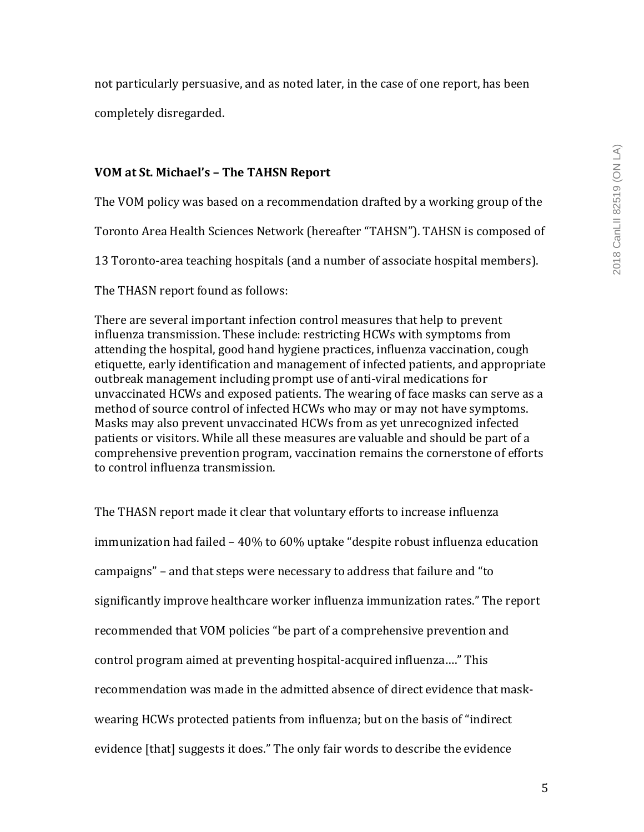not particularly persuasive, and as noted later, in the case of one report, has been

completely disregarded. 

# **VOM at St. Michael's – The TAHSN Report**

The VOM policy was based on a recommendation drafted by a working group of the

Toronto Area Health Sciences Network (hereafter "TAHSN"). TAHSN is composed of

13 Toronto-area teaching hospitals (and a number of associate hospital members).

The THASN report found as follows:

There are several important infection control measures that help to prevent influenza transmission. These include: restricting HCWs with symptoms from attending the hospital, good hand hygiene practices, influenza vaccination, cough etiquette, early identification and management of infected patients, and appropriate outbreak management including prompt use of anti-viral medications for unvaccinated HCWs and exposed patients. The wearing of face masks can serve as a method of source control of infected HCWs who may or may not have symptoms. Masks may also prevent unvaccinated HCWs from as yet unrecognized infected patients or visitors. While all these measures are valuable and should be part of a comprehensive prevention program, vaccination remains the cornerstone of efforts to control influenza transmission.

The THASN report made it clear that voluntary efforts to increase influenza immunization had failed - 40% to 60% uptake "despite robust influenza education campaigns" – and that steps were necessary to address that failure and "to significantly improve healthcare worker influenza immunization rates." The report recommended that VOM policies "be part of a comprehensive prevention and control program aimed at preventing hospital-acquired influenza...." This recommendation was made in the admitted absence of direct evidence that maskwearing HCWs protected patients from influenza; but on the basis of "indirect" evidence [that] suggests it does." The only fair words to describe the evidence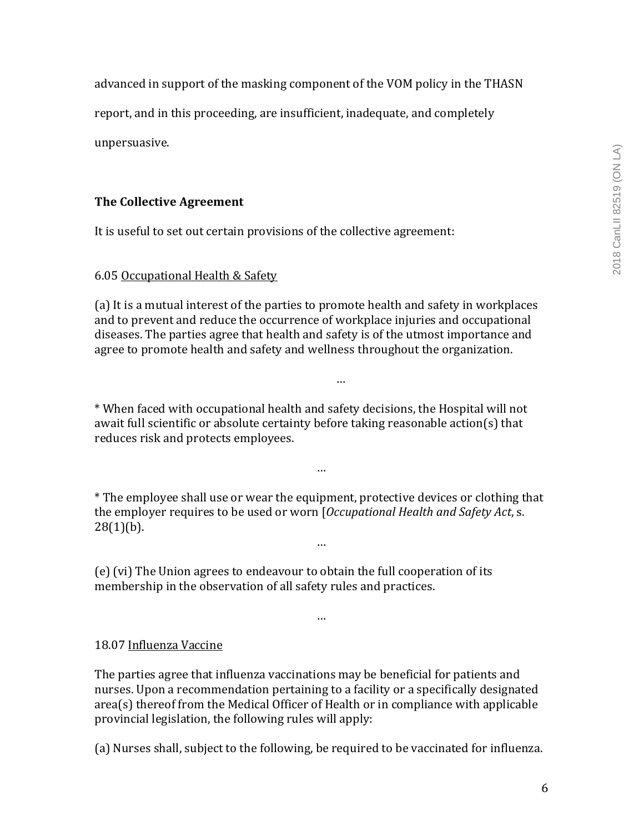advanced in support of the masking component of the VOM policy in the THASN

report, and in this proceeding, are insufficient, inadequate, and completely

unpersuasive.

# **The Collective Agreement**

It is useful to set out certain provisions of the collective agreement:

# 6.05 Occupational Health & Safety

(a) It is a mutual interest of the parties to promote health and safety in workplaces and to prevent and reduce the occurrence of workplace injuries and occupational diseases. The parties agree that health and safety is of the utmost importance and agree to promote health and safety and wellness throughout the organization.

…

\* When faced with occupational health and safety decisions, the Hospital will not await full scientific or absolute certainty before taking reasonable  $action(s)$  that reduces risk and protects employees.

\* The employee shall use or wear the equipment, protective devices or clothing that the employer requires to be used or worn [*Occupational Health and Safety Act*, s.  $28(1)(b)$ .

…

…

…

(e) (vi) The Union agrees to endeavour to obtain the full cooperation of its membership in the observation of all safety rules and practices.

# 18.07 Influenza Vaccine

The parties agree that influenza vaccinations may be beneficial for patients and nurses. Upon a recommendation pertaining to a facility or a specifically designated  $area(s)$  thereof from the Medical Officer of Health or in compliance with applicable provincial legislation, the following rules will apply:

(a) Nurses shall, subject to the following, be required to be vaccinated for influenza.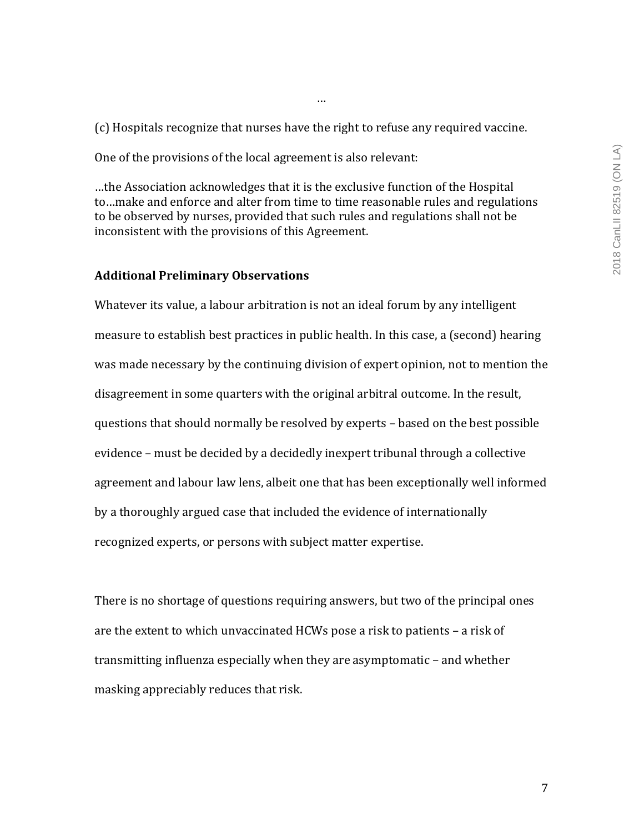(c) Hospitals recognize that nurses have the right to refuse any required vaccine.

…

One of the provisions of the local agreement is also relevant:

...the Association acknowledges that it is the exclusive function of the Hospital to...make and enforce and alter from time to time reasonable rules and regulations to be observed by nurses, provided that such rules and regulations shall not be inconsistent with the provisions of this Agreement.

# **Additional Preliminary Observations**

Whatever its value, a labour arbitration is not an ideal forum by any intelligent measure to establish best practices in public health. In this case, a (second) hearing was made necessary by the continuing division of expert opinion, not to mention the disagreement in some quarters with the original arbitral outcome. In the result, questions that should normally be resolved by experts - based on the best possible evidence – must be decided by a decidedly inexpert tribunal through a collective agreement and labour law lens, albeit one that has been exceptionally well informed by a thoroughly argued case that included the evidence of internationally recognized experts, or persons with subject matter expertise.

There is no shortage of questions requiring answers, but two of the principal ones are the extent to which unvaccinated HCWs pose a risk to patients  $-$  a risk of transmitting influenza especially when they are asymptomatic – and whether masking appreciably reduces that risk.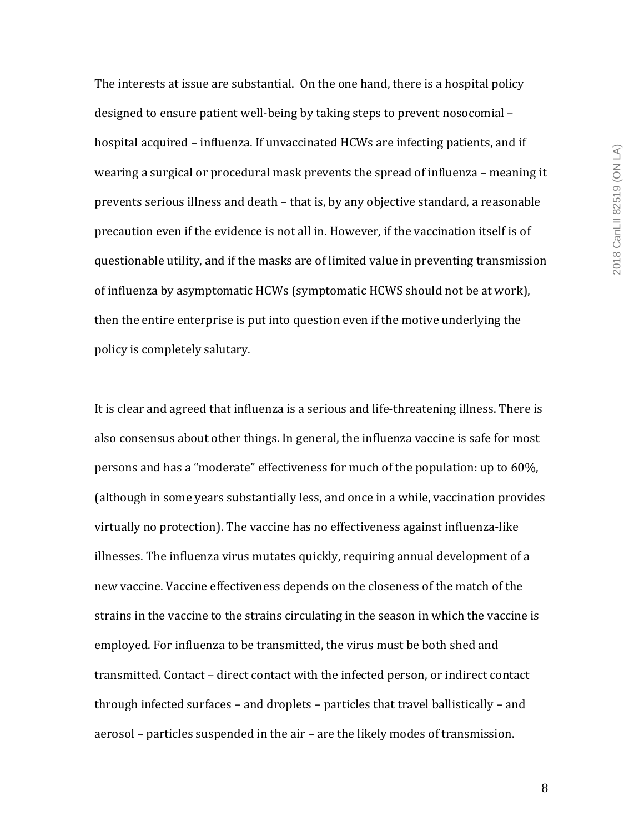The interests at issue are substantial. On the one hand, there is a hospital policy designed to ensure patient well-being by taking steps to prevent nosocomial – hospital acquired – influenza. If unvaccinated HCWs are infecting patients, and if wearing a surgical or procedural mask prevents the spread of influenza – meaning it prevents serious illness and death – that is, by any objective standard, a reasonable precaution even if the evidence is not all in. However, if the vaccination itself is of questionable utility, and if the masks are of limited value in preventing transmission of influenza by asymptomatic HCWs (symptomatic HCWS should not be at work), then the entire enterprise is put into question even if the motive underlying the policy is completely salutary.

It is clear and agreed that influenza is a serious and life-threatening illness. There is also consensus about other things. In general, the influenza vaccine is safe for most persons and has a "moderate" effectiveness for much of the population: up to 60%, (although in some years substantially less, and once in a while, vaccination provides virtually no protection). The vaccine has no effectiveness against influenza-like illnesses. The influenza virus mutates quickly, requiring annual development of a new vaccine. Vaccine effectiveness depends on the closeness of the match of the strains in the vaccine to the strains circulating in the season in which the vaccine is employed. For influenza to be transmitted, the virus must be both shed and transmitted. Contact - direct contact with the infected person, or indirect contact through infected surfaces  $-$  and droplets  $-$  particles that travel ballistically  $-$  and aerosol – particles suspended in the air – are the likely modes of transmission.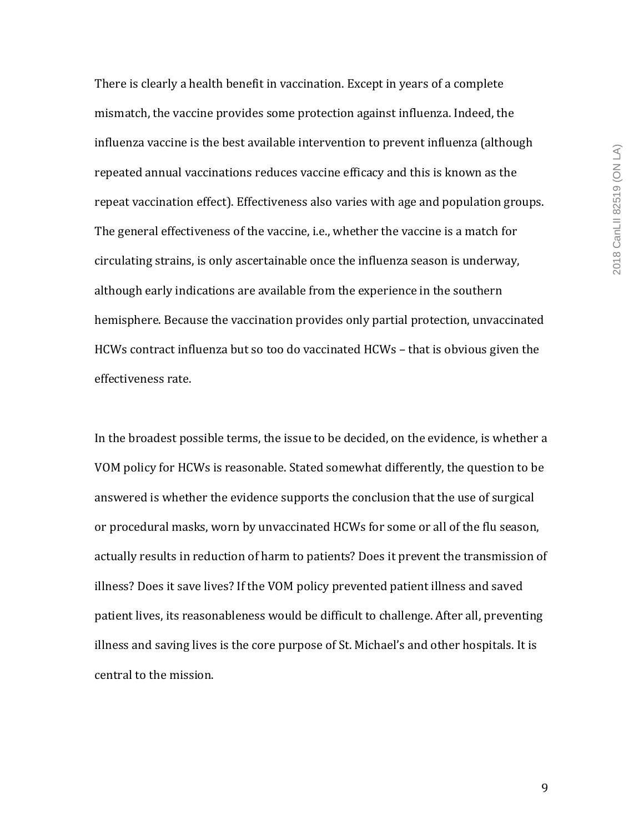2018 CanLII 82519 (ON LA) 2018 CanLII 82519 (ON LA)

There is clearly a health benefit in vaccination. Except in years of a complete mismatch, the vaccine provides some protection against influenza. Indeed, the influenza vaccine is the best available intervention to prevent influenza (although repeated annual vaccinations reduces vaccine efficacy and this is known as the repeat vaccination effect). Effectiveness also varies with age and population groups. The general effectiveness of the vaccine, i.e., whether the vaccine is a match for circulating strains, is only ascertainable once the influenza season is underway, although early indications are available from the experience in the southern hemisphere. Because the vaccination provides only partial protection, unvaccinated HCWs contract influenza but so too do vaccinated  $HCWs - that$  is obvious given the effectiveness rate.

In the broadest possible terms, the issue to be decided, on the evidence, is whether a VOM policy for HCWs is reasonable. Stated somewhat differently, the question to be answered is whether the evidence supports the conclusion that the use of surgical or procedural masks, worn by unvaccinated HCWs for some or all of the flu season, actually results in reduction of harm to patients? Does it prevent the transmission of illness? Does it save lives? If the VOM policy prevented patient illness and saved patient lives, its reasonableness would be difficult to challenge. After all, preventing illness and saving lives is the core purpose of St. Michael's and other hospitals. It is central to the mission.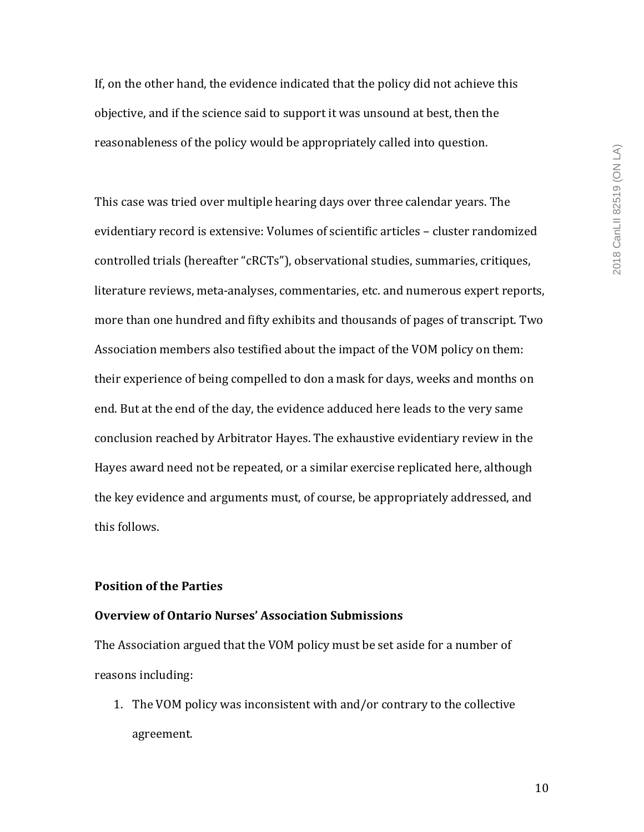If, on the other hand, the evidence indicated that the policy did not achieve this objective, and if the science said to support it was unsound at best, then the reasonableness of the policy would be appropriately called into question.

This case was tried over multiple hearing days over three calendar years. The evidentiary record is extensive: Volumes of scientific articles - cluster randomized controlled trials (hereafter "cRCTs"), observational studies, summaries, critiques, literature reviews, meta-analyses, commentaries, etc. and numerous expert reports, more than one hundred and fifty exhibits and thousands of pages of transcript. Two Association members also testified about the impact of the VOM policy on them: their experience of being compelled to don a mask for days, weeks and months on end. But at the end of the day, the evidence adduced here leads to the very same conclusion reached by Arbitrator Hayes. The exhaustive evidentiary review in the Hayes award need not be repeated, or a similar exercise replicated here, although the key evidence and arguments must, of course, be appropriately addressed, and this follows.

## **Position of the Parties**

# **Overview of Ontario Nurses' Association Submissions**

The Association argued that the VOM policy must be set aside for a number of reasons including:

1. The VOM policy was inconsistent with and/or contrary to the collective agreement.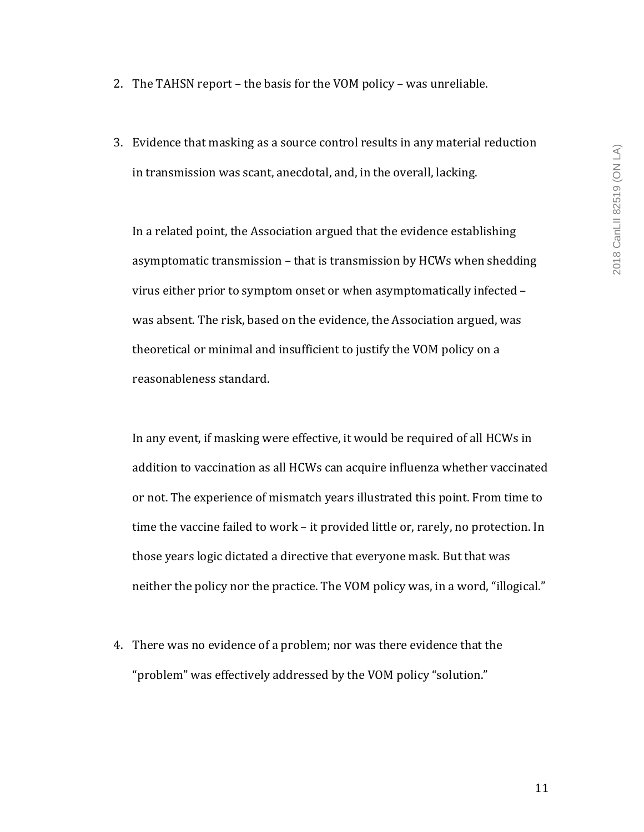- 2. The TAHSN report the basis for the VOM policy was unreliable.
- 3. Evidence that masking as a source control results in any material reduction in transmission was scant, anecdotal, and, in the overall, lacking.

In a related point, the Association argued that the evidence establishing asymptomatic transmission  $-$  that is transmission by HCWs when shedding virus either prior to symptom onset or when asymptomatically infected was absent. The risk, based on the evidence, the Association argued, was theoretical or minimal and insufficient to justify the VOM policy on a reasonableness standard.

In any event, if masking were effective, it would be required of all HCWs in addition to vaccination as all HCWs can acquire influenza whether vaccinated or not. The experience of mismatch years illustrated this point. From time to time the vaccine failed to work – it provided little or, rarely, no protection. In those years logic dictated a directive that everyone mask. But that was neither the policy nor the practice. The VOM policy was, in a word, "illogical."

4. There was no evidence of a problem; nor was there evidence that the "problem" was effectively addressed by the VOM policy "solution."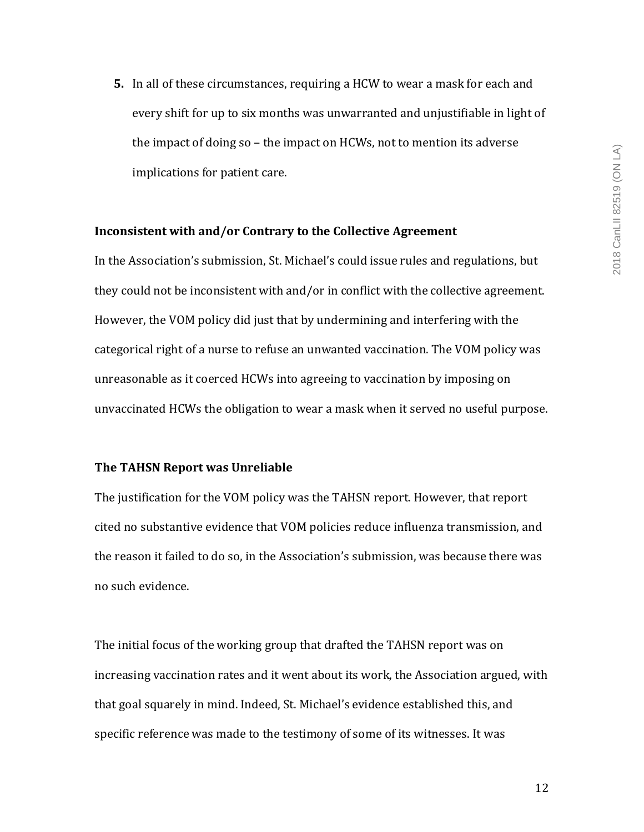**5.** In all of these circumstances, requiring a HCW to wear a mask for each and every shift for up to six months was unwarranted and unjustifiable in light of the impact of doing so  $-$  the impact on HCWs, not to mention its adverse implications for patient care.

### **Inconsistent with and/or Contrary to the Collective Agreement**

In the Association's submission, St. Michael's could issue rules and regulations, but they could not be inconsistent with and/or in conflict with the collective agreement. However, the VOM policy did just that by undermining and interfering with the categorical right of a nurse to refuse an unwanted vaccination. The VOM policy was unreasonable as it coerced HCWs into agreeing to vaccination by imposing on unvaccinated HCWs the obligation to wear a mask when it served no useful purpose.

## **The TAHSN Report was Unreliable**

The justification for the VOM policy was the TAHSN report. However, that report cited no substantive evidence that VOM policies reduce influenza transmission, and the reason it failed to do so, in the Association's submission, was because there was no such evidence.

The initial focus of the working group that drafted the TAHSN report was on increasing vaccination rates and it went about its work, the Association argued, with that goal squarely in mind. Indeed, St. Michael's evidence established this, and specific reference was made to the testimony of some of its witnesses. It was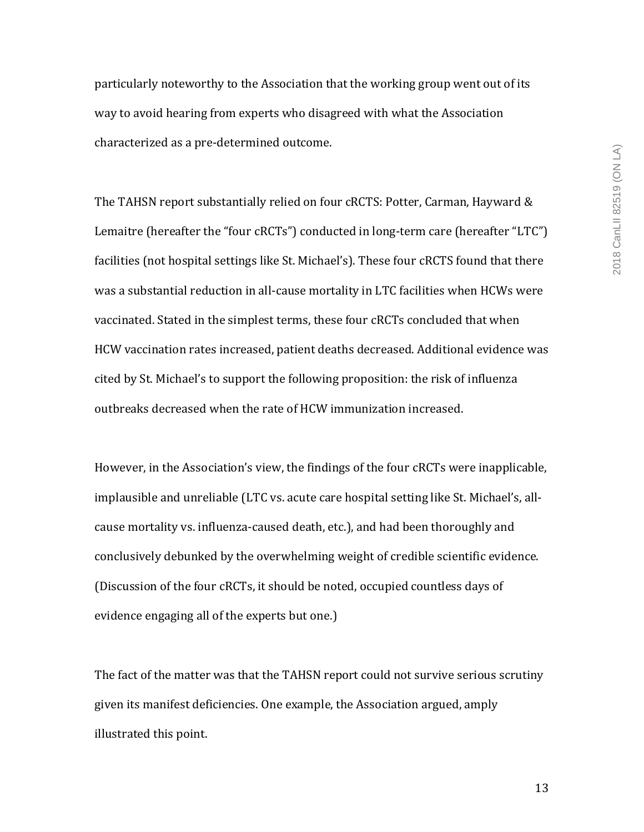particularly noteworthy to the Association that the working group went out of its way to avoid hearing from experts who disagreed with what the Association characterized as a pre-determined outcome.

The TAHSN report substantially relied on four cRCTS: Potter, Carman, Hayward & Lemaitre (hereafter the "four cRCTs") conducted in long-term care (hereafter "LTC") facilities (not hospital settings like St. Michael's). These four cRCTS found that there was a substantial reduction in all-cause mortality in LTC facilities when HCWs were vaccinated. Stated in the simplest terms, these four cRCTs concluded that when HCW vaccination rates increased, patient deaths decreased. Additional evidence was cited by St. Michael's to support the following proposition: the risk of influenza outbreaks decreased when the rate of HCW immunization increased.

However, in the Association's view, the findings of the four cRCTs were inapplicable, implausible and unreliable (LTC vs. acute care hospital setting like St. Michael's, allcause mortality vs. influenza-caused death, etc.), and had been thoroughly and conclusively debunked by the overwhelming weight of credible scientific evidence. (Discussion of the four cRCTs, it should be noted, occupied countless days of evidence engaging all of the experts but one.)

The fact of the matter was that the TAHSN report could not survive serious scrutiny given its manifest deficiencies. One example, the Association argued, amply illustrated this point.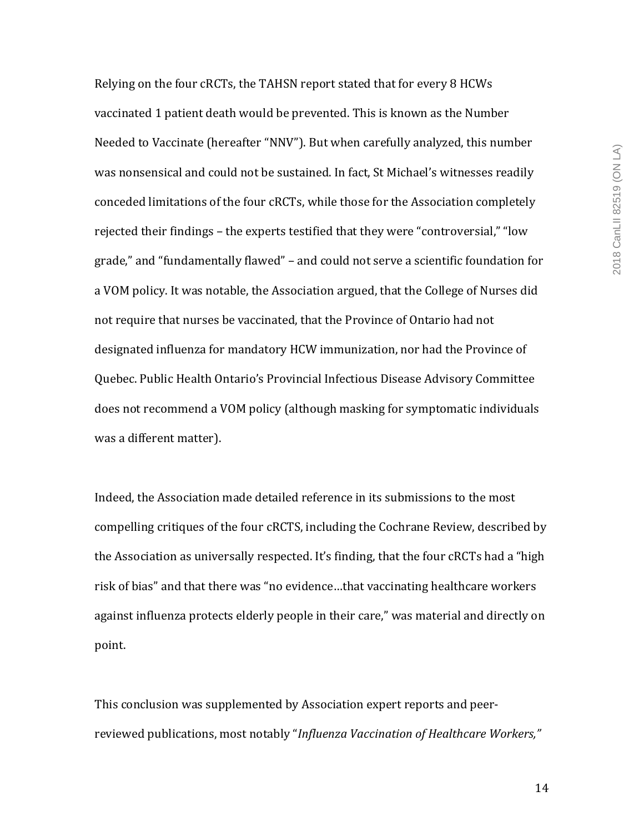2018 CanLII 82519 (ON LA) 2018 CanLII 82519 (ON LA)

Relying on the four cRCTs, the TAHSN report stated that for every 8 HCWs vaccinated 1 patient death would be prevented. This is known as the Number Needed to Vaccinate (hereafter "NNV"). But when carefully analyzed, this number was nonsensical and could not be sustained. In fact, St Michael's witnesses readily conceded limitations of the four cRCTs, while those for the Association completely rejected their findings – the experts testified that they were "controversial," "low grade," and "fundamentally flawed" - and could not serve a scientific foundation for a VOM policy. It was notable, the Association argued, that the College of Nurses did not require that nurses be vaccinated, that the Province of Ontario had not designated influenza for mandatory HCW immunization, nor had the Province of Quebec. Public Health Ontario's Provincial Infectious Disease Advisory Committee does not recommend a VOM policy (although masking for symptomatic individuals was a different matter).

Indeed, the Association made detailed reference in its submissions to the most compelling critiques of the four cRCTS, including the Cochrane Review, described by the Association as universally respected. It's finding, that the four cRCTs had a "high risk of bias" and that there was "no evidence...that vaccinating healthcare workers against influenza protects elderly people in their care," was material and directly on point. 

This conclusion was supplemented by Association expert reports and peerreviewed publications, most notably "*Influenza Vaccination of Healthcare Workers*,"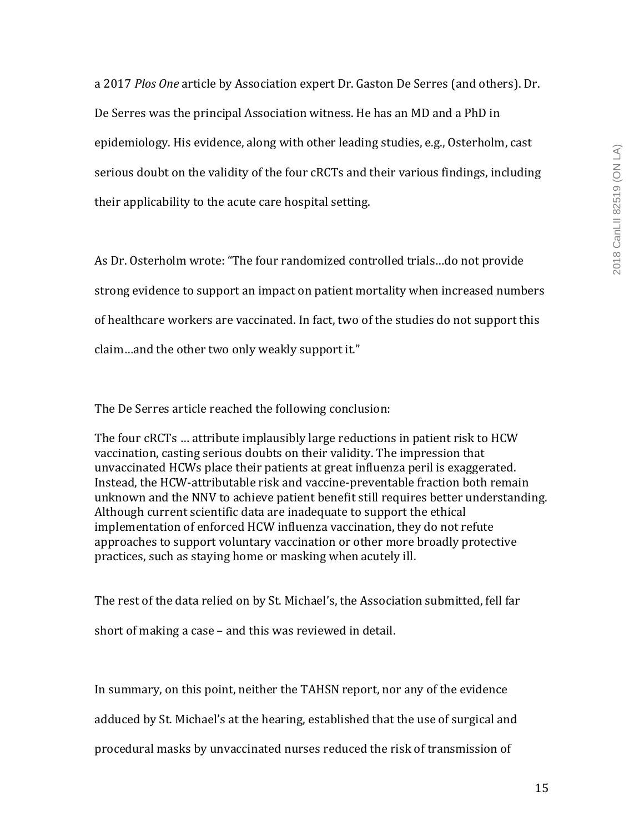a 2017 *Plos One* article by Association expert Dr. Gaston De Serres (and others). Dr. De Serres was the principal Association witness. He has an MD and a PhD in epidemiology. His evidence, along with other leading studies, e.g., Osterholm, cast serious doubt on the validity of the four cRCTs and their various findings, including their applicability to the acute care hospital setting.

As Dr. Osterholm wrote: "The four randomized controlled trials...do not provide strong evidence to support an impact on patient mortality when increased numbers of healthcare workers are vaccinated. In fact, two of the studies do not support this claim...and the other two only weakly support it."

The De Serres article reached the following conclusion:

The four cRCTs ... attribute implausibly large reductions in patient risk to HCW vaccination, casting serious doubts on their validity. The impression that unvaccinated HCWs place their patients at great influenza peril is exaggerated. Instead, the HCW-attributable risk and vaccine-preventable fraction both remain unknown and the NNV to achieve patient benefit still requires better understanding. Although current scientific data are inadequate to support the ethical implementation of enforced HCW influenza vaccination, they do not refute approaches to support voluntary vaccination or other more broadly protective practices, such as staying home or masking when acutely ill.

The rest of the data relied on by St. Michael's, the Association submitted, fell far short of making a case  $-$  and this was reviewed in detail.

In summary, on this point, neither the TAHSN report, nor any of the evidence

adduced by St. Michael's at the hearing, established that the use of surgical and

procedural masks by unvaccinated nurses reduced the risk of transmission of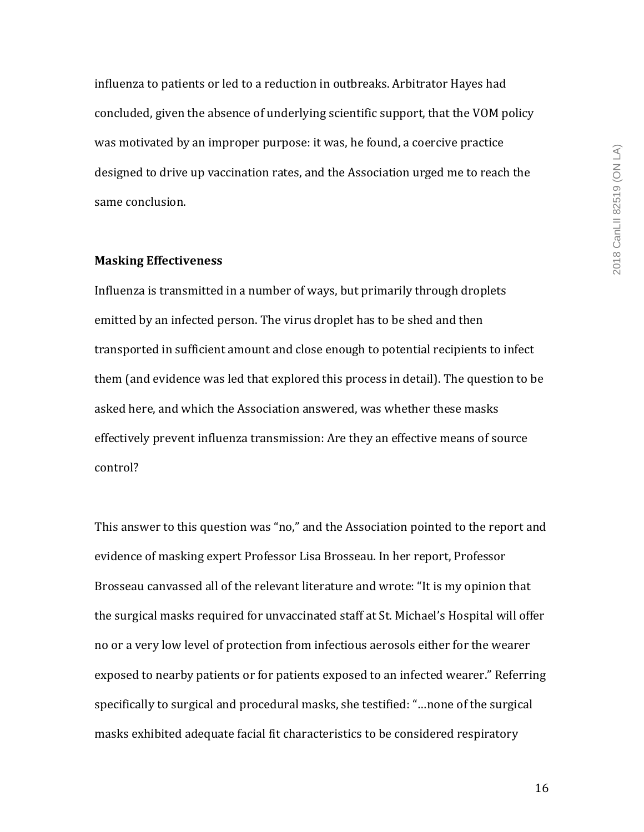influenza to patients or led to a reduction in outbreaks. Arbitrator Hayes had concluded, given the absence of underlying scientific support, that the VOM policy was motivated by an improper purpose: it was, he found, a coercive practice designed to drive up vaccination rates, and the Association urged me to reach the same conclusion.

#### **Masking Effectiveness**

Influenza is transmitted in a number of ways, but primarily through droplets emitted by an infected person. The virus droplet has to be shed and then transported in sufficient amount and close enough to potential recipients to infect them (and evidence was led that explored this process in detail). The question to be asked here, and which the Association answered, was whether these masks effectively prevent influenza transmission: Are they an effective means of source control?

This answer to this question was "no," and the Association pointed to the report and evidence of masking expert Professor Lisa Brosseau. In her report, Professor Brosseau canvassed all of the relevant literature and wrote: "It is my opinion that the surgical masks required for unvaccinated staff at St. Michael's Hospital will offer no or a very low level of protection from infectious aerosols either for the wearer exposed to nearby patients or for patients exposed to an infected wearer." Referring specifically to surgical and procedural masks, she testified: "...none of the surgical masks exhibited adequate facial fit characteristics to be considered respiratory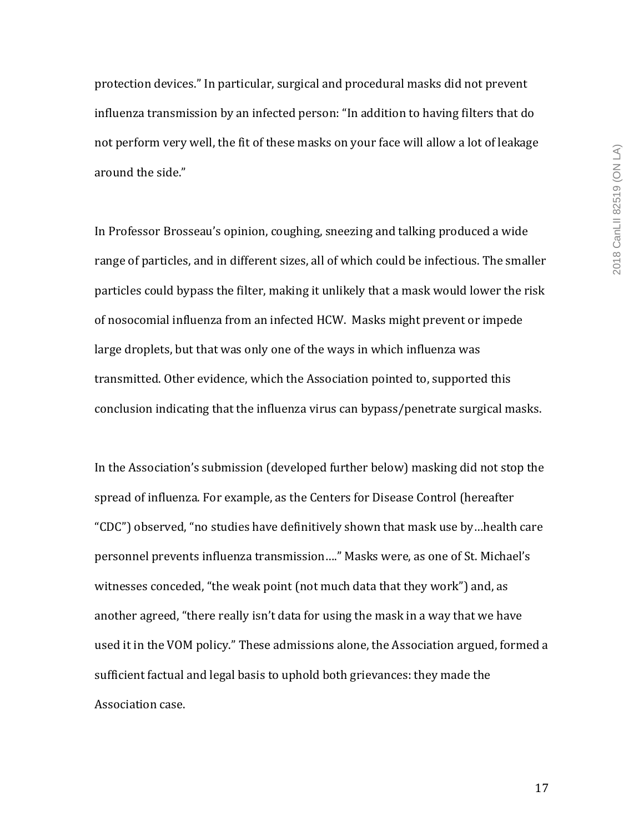protection devices." In particular, surgical and procedural masks did not prevent influenza transmission by an infected person: "In addition to having filters that do not perform very well, the fit of these masks on your face will allow a lot of leakage around the side."

In Professor Brosseau's opinion, coughing, sneezing and talking produced a wide range of particles, and in different sizes, all of which could be infectious. The smaller particles could bypass the filter, making it unlikely that a mask would lower the risk of nosocomial influenza from an infected HCW. Masks might prevent or impede large droplets, but that was only one of the ways in which influenza was transmitted. Other evidence, which the Association pointed to, supported this conclusion indicating that the influenza virus can bypass/penetrate surgical masks.

In the Association's submission (developed further below) masking did not stop the spread of influenza. For example, as the Centers for Disease Control (hereafter "CDC") observed, "no studies have definitively shown that mask use by...health care personnel prevents influenza transmission...." Masks were, as one of St. Michael's witnesses conceded, "the weak point (not much data that they work") and, as another agreed, "there really isn't data for using the mask in a way that we have used it in the VOM policy." These admissions alone, the Association argued, formed a sufficient factual and legal basis to uphold both grievances: they made the Association case.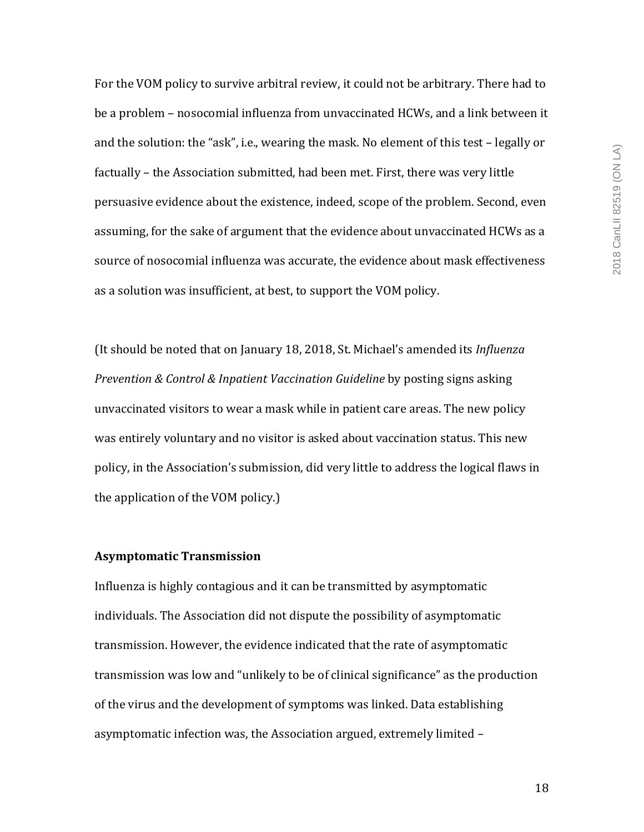For the VOM policy to survive arbitral review, it could not be arbitrary. There had to be a problem – nosocomial influenza from unvaccinated HCWs, and a link between it and the solution: the "ask", i.e., wearing the mask. No element of this test - legally or factually – the Association submitted, had been met. First, there was very little persuasive evidence about the existence, indeed, scope of the problem. Second, even assuming, for the sake of argument that the evidence about unvaccinated HCWs as a source of nosocomial influenza was accurate, the evidence about mask effectiveness as a solution was insufficient, at best, to support the VOM policy.

(It should be noted that on January 18, 2018, St. Michael's amended its *Influenza Prevention & Control & Inpatient Vaccination Guideline* by posting signs asking unvaccinated visitors to wear a mask while in patient care areas. The new policy was entirely voluntary and no visitor is asked about vaccination status. This new policy, in the Association's submission, did very little to address the logical flaws in the application of the VOM policy.)

# **Asymptomatic Transmission**

Influenza is highly contagious and it can be transmitted by asymptomatic individuals. The Association did not dispute the possibility of asymptomatic transmission. However, the evidence indicated that the rate of asymptomatic transmission was low and "unlikely to be of clinical significance" as the production of the virus and the development of symptoms was linked. Data establishing asymptomatic infection was, the Association argued, extremely limited -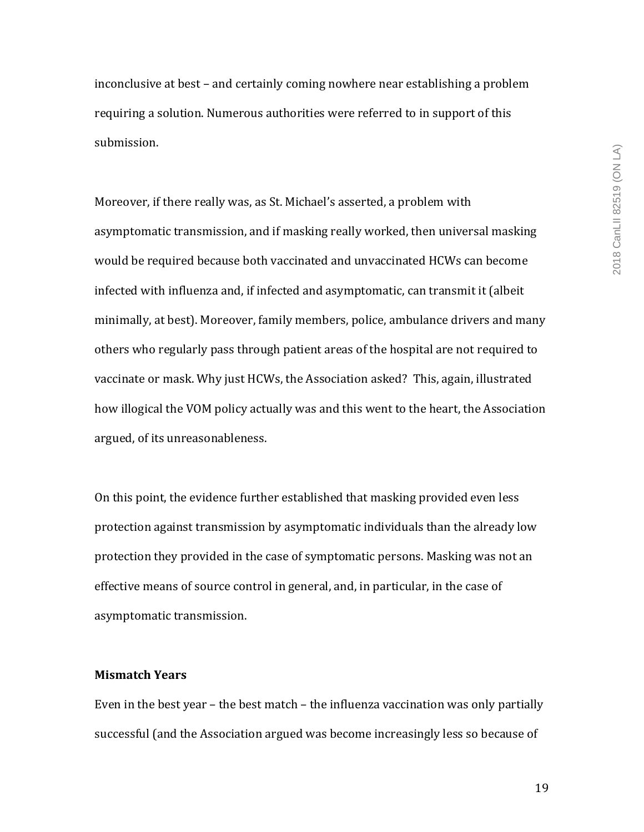inconclusive at best – and certainly coming nowhere near establishing a problem requiring a solution. Numerous authorities were referred to in support of this submission.

Moreover, if there really was, as St. Michael's asserted, a problem with asymptomatic transmission, and if masking really worked, then universal masking would be required because both vaccinated and unvaccinated HCWs can become infected with influenza and, if infected and asymptomatic, can transmit it (albeit minimally, at best). Moreover, family members, police, ambulance drivers and many others who regularly pass through patient areas of the hospital are not required to vaccinate or mask. Why just HCWs, the Association asked? This, again, illustrated how illogical the VOM policy actually was and this went to the heart, the Association argued, of its unreasonableness.

On this point, the evidence further established that masking provided even less protection against transmission by asymptomatic individuals than the already low protection they provided in the case of symptomatic persons. Masking was not an effective means of source control in general, and, in particular, in the case of asymptomatic transmission.

#### **Mismatch Years**

Even in the best year  $-$  the best match  $-$  the influenza vaccination was only partially successful (and the Association argued was become increasingly less so because of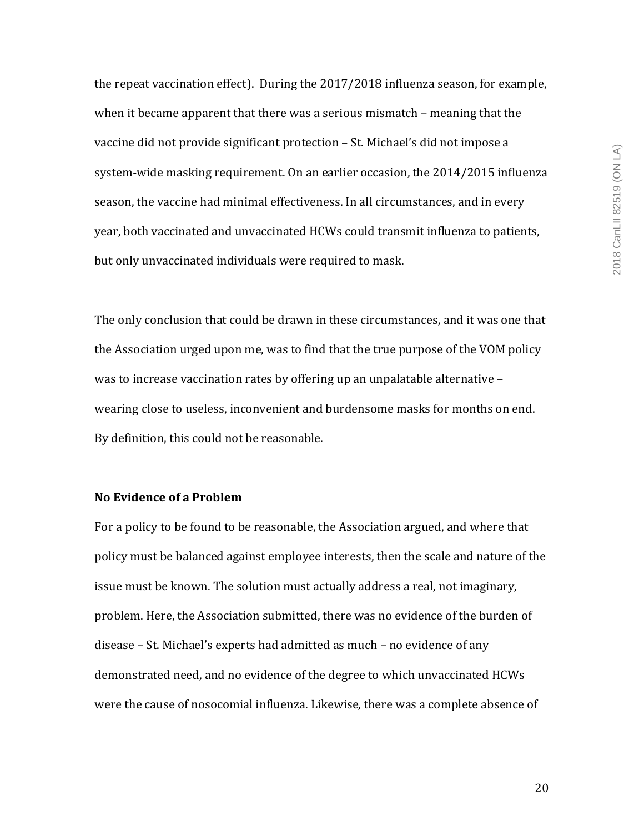the repeat vaccination effect). During the  $2017/2018$  influenza season, for example, when it became apparent that there was a serious mismatch – meaning that the vaccine did not provide significant protection - St. Michael's did not impose a system-wide masking requirement. On an earlier occasion, the 2014/2015 influenza season, the vaccine had minimal effectiveness. In all circumstances, and in every year, both vaccinated and unvaccinated HCWs could transmit influenza to patients, but only unvaccinated individuals were required to mask.

The only conclusion that could be drawn in these circumstances, and it was one that the Association urged upon me, was to find that the true purpose of the VOM policy was to increase vaccination rates by offering up an unpalatable alternative  $$ wearing close to useless, inconvenient and burdensome masks for months on end. By definition, this could not be reasonable.

# **No Evidence of a Problem**

For a policy to be found to be reasonable, the Association argued, and where that policy must be balanced against employee interests, then the scale and nature of the issue must be known. The solution must actually address a real, not imaginary, problem. Here, the Association submitted, there was no evidence of the burden of disease - St. Michael's experts had admitted as much - no evidence of any demonstrated need, and no evidence of the degree to which unvaccinated HCWs were the cause of nosocomial influenza. Likewise, there was a complete absence of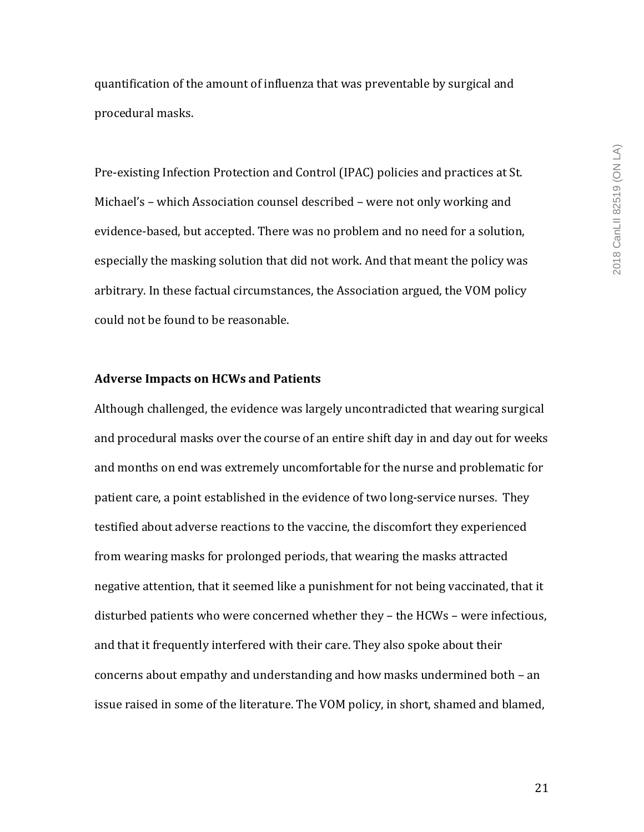quantification of the amount of influenza that was preventable by surgical and procedural masks.

Pre-existing Infection Protection and Control (IPAC) policies and practices at St. Michael's - which Association counsel described - were not only working and evidence-based, but accepted. There was no problem and no need for a solution, especially the masking solution that did not work. And that meant the policy was arbitrary. In these factual circumstances, the Association argued, the VOM policy could not be found to be reasonable.

## **Adverse Impacts on HCWs and Patients**

Although challenged, the evidence was largely uncontradicted that wearing surgical and procedural masks over the course of an entire shift day in and day out for weeks and months on end was extremely uncomfortable for the nurse and problematic for patient care, a point established in the evidence of two long-service nurses. They testified about adverse reactions to the vaccine, the discomfort they experienced from wearing masks for prolonged periods, that wearing the masks attracted negative attention, that it seemed like a punishment for not being vaccinated, that it disturbed patients who were concerned whether they – the HCWs – were infectious, and that it frequently interfered with their care. They also spoke about their concerns about empathy and understanding and how masks undermined both  $-$  an issue raised in some of the literature. The VOM policy, in short, shamed and blamed,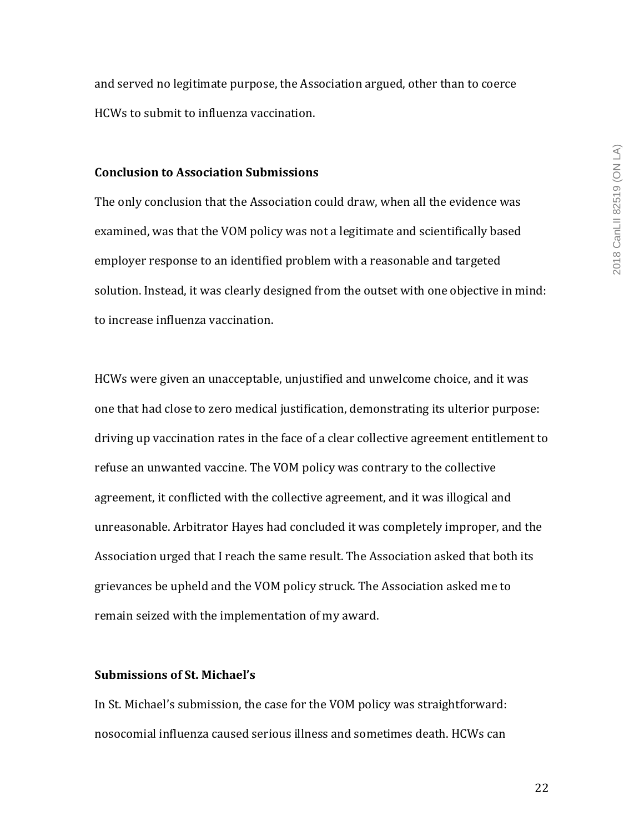and served no legitimate purpose, the Association argued, other than to coerce HCWs to submit to influenza vaccination.

## **Conclusion to Association Submissions**

The only conclusion that the Association could draw, when all the evidence was examined, was that the VOM policy was not a legitimate and scientifically based employer response to an identified problem with a reasonable and targeted solution. Instead, it was clearly designed from the outset with one objective in mind: to increase influenza vaccination.

HCWs were given an unacceptable, unjustified and unwelcome choice, and it was one that had close to zero medical justification, demonstrating its ulterior purpose: driving up vaccination rates in the face of a clear collective agreement entitlement to refuse an unwanted vaccine. The VOM policy was contrary to the collective agreement, it conflicted with the collective agreement, and it was illogical and unreasonable. Arbitrator Hayes had concluded it was completely improper, and the Association urged that I reach the same result. The Association asked that both its grievances be upheld and the VOM policy struck. The Association asked me to remain seized with the implementation of my award.

## **Submissions of St. Michael's**

In St. Michael's submission, the case for the VOM policy was straightforward: nosocomial influenza caused serious illness and sometimes death. HCWs can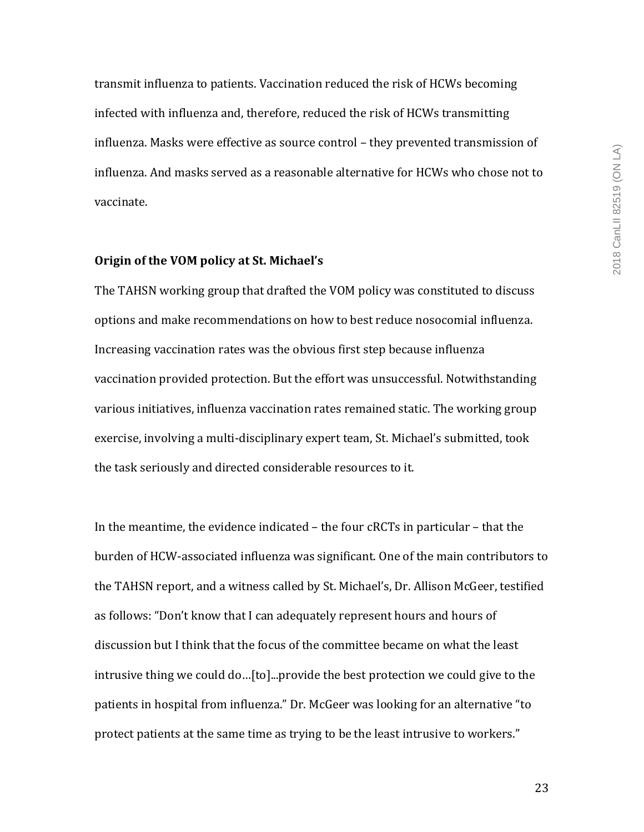transmit influenza to patients. Vaccination reduced the risk of HCWs becoming infected with influenza and, therefore, reduced the risk of HCWs transmitting influenza. Masks were effective as source control - they prevented transmission of influenza. And masks served as a reasonable alternative for HCWs who chose not to vaccinate. 

#### **Origin of the VOM policy at St. Michael's**

The TAHSN working group that drafted the VOM policy was constituted to discuss options and make recommendations on how to best reduce nosocomial influenza. Increasing vaccination rates was the obvious first step because influenza vaccination provided protection. But the effort was unsuccessful. Notwithstanding various initiatives, influenza vaccination rates remained static. The working group exercise, involving a multi-disciplinary expert team, St. Michael's submitted, took the task seriously and directed considerable resources to it.

In the meantime, the evidence indicated  $-$  the four cRCTs in particular  $-$  that the burden of HCW-associated influenza was significant. One of the main contributors to the TAHSN report, and a witness called by St. Michael's, Dr. Allison McGeer, testified as follows: "Don't know that I can adequately represent hours and hours of discussion but I think that the focus of the committee became on what the least intrusive thing we could do...[to]...provide the best protection we could give to the patients in hospital from influenza." Dr. McGeer was looking for an alternative "to protect patients at the same time as trying to be the least intrusive to workers."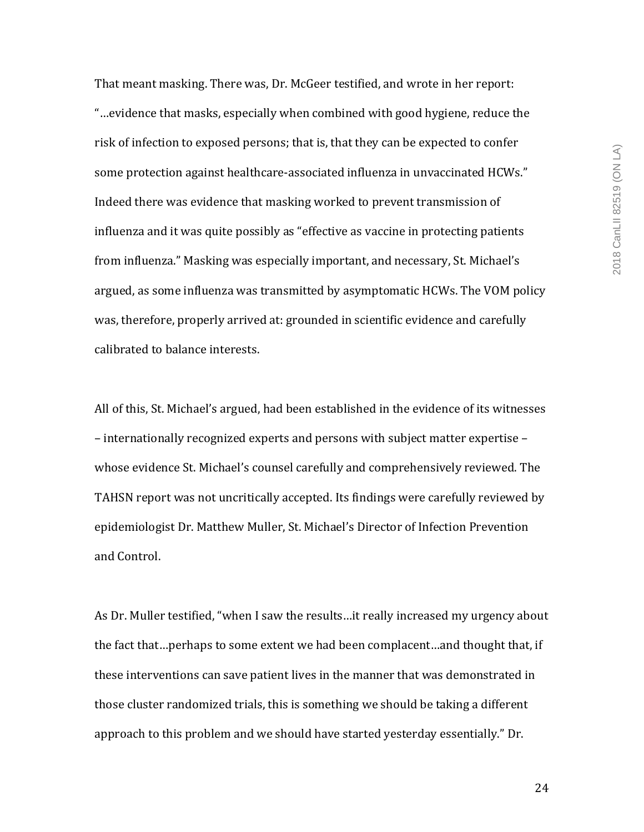That meant masking. There was, Dr. McGeer testified, and wrote in her report: "...evidence that masks, especially when combined with good hygiene, reduce the risk of infection to exposed persons; that is, that they can be expected to confer some protection against healthcare-associated influenza in unvaccinated HCWs." Indeed there was evidence that masking worked to prevent transmission of influenza and it was quite possibly as "effective as vaccine in protecting patients from influenza." Masking was especially important, and necessary, St. Michael's argued, as some influenza was transmitted by asymptomatic HCWs. The VOM policy was, therefore, properly arrived at: grounded in scientific evidence and carefully calibrated to balance interests.

All of this, St. Michael's argued, had been established in the evidence of its witnesses – internationally recognized experts and persons with subject matter expertise – whose evidence St. Michael's counsel carefully and comprehensively reviewed. The TAHSN report was not uncritically accepted. Its findings were carefully reviewed by epidemiologist Dr. Matthew Muller, St. Michael's Director of Infection Prevention and Control.

As Dr. Muller testified, "when I saw the results...it really increased my urgency about the fact that...perhaps to some extent we had been complacent...and thought that, if these interventions can save patient lives in the manner that was demonstrated in those cluster randomized trials, this is something we should be taking a different approach to this problem and we should have started yesterday essentially." Dr.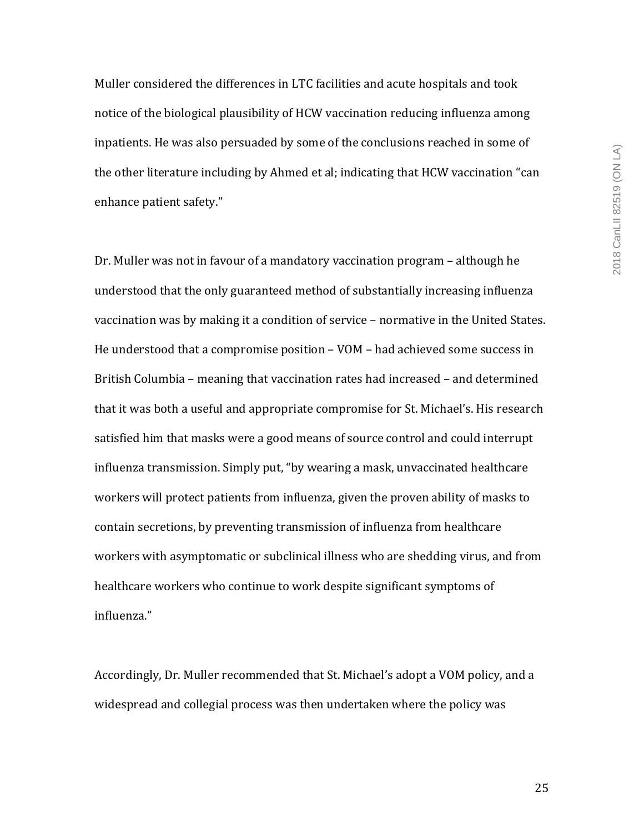Muller considered the differences in LTC facilities and acute hospitals and took notice of the biological plausibility of HCW vaccination reducing influenza among inpatients. He was also persuaded by some of the conclusions reached in some of the other literature including by Ahmed et al; indicating that HCW vaccination "can enhance patient safety."

Dr. Muller was not in favour of a mandatory vaccination program – although he understood that the only guaranteed method of substantially increasing influenza vaccination was by making it a condition of service - normative in the United States. He understood that a compromise position  $-$  VOM  $-$  had achieved some success in British Columbia – meaning that vaccination rates had increased – and determined that it was both a useful and appropriate compromise for St. Michael's. His research satisfied him that masks were a good means of source control and could interrupt influenza transmission. Simply put, "by wearing a mask, unvaccinated healthcare workers will protect patients from influenza, given the proven ability of masks to contain secretions, by preventing transmission of influenza from healthcare workers with asymptomatic or subclinical illness who are shedding virus, and from healthcare workers who continue to work despite significant symptoms of influenza."

Accordingly, Dr. Muller recommended that St. Michael's adopt a VOM policy, and a widespread and collegial process was then undertaken where the policy was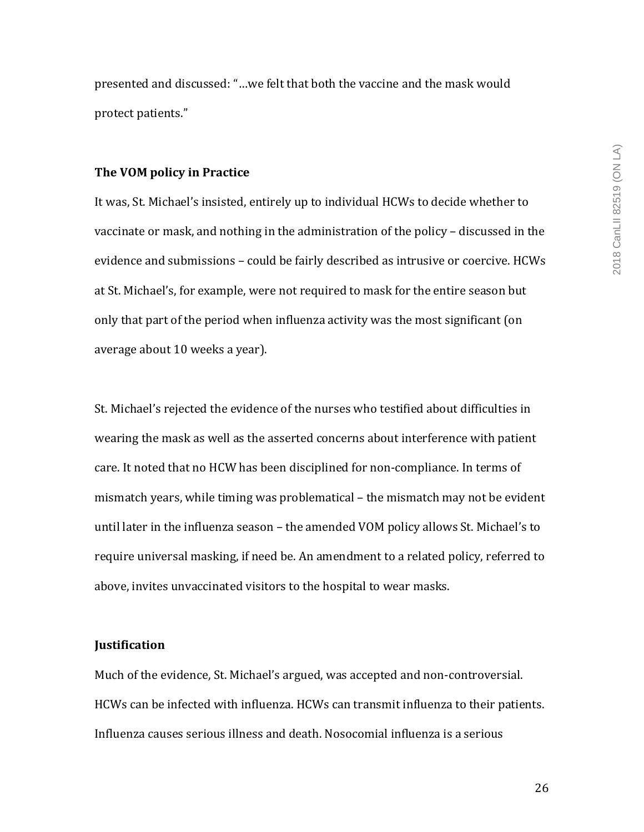presented and discussed: "...we felt that both the vaccine and the mask would protect patients."

#### **The VOM policy in Practice**

It was, St. Michael's insisted, entirely up to individual HCWs to decide whether to vaccinate or mask, and nothing in the administration of the policy – discussed in the evidence and submissions – could be fairly described as intrusive or coercive. HCWs at St. Michael's, for example, were not required to mask for the entire season but only that part of the period when influenza activity was the most significant (on average about 10 weeks a year).

St. Michael's rejected the evidence of the nurses who testified about difficulties in wearing the mask as well as the asserted concerns about interference with patient care. It noted that no HCW has been disciplined for non-compliance. In terms of mismatch years, while timing was problematical – the mismatch may not be evident until later in the influenza season - the amended VOM policy allows St. Michael's to require universal masking, if need be. An amendment to a related policy, referred to above, invites unvaccinated visitors to the hospital to wear masks.

#### **Justification**

Much of the evidence, St. Michael's argued, was accepted and non-controversial. HCWs can be infected with influenza. HCWs can transmit influenza to their patients. Influenza causes serious illness and death. Nosocomial influenza is a serious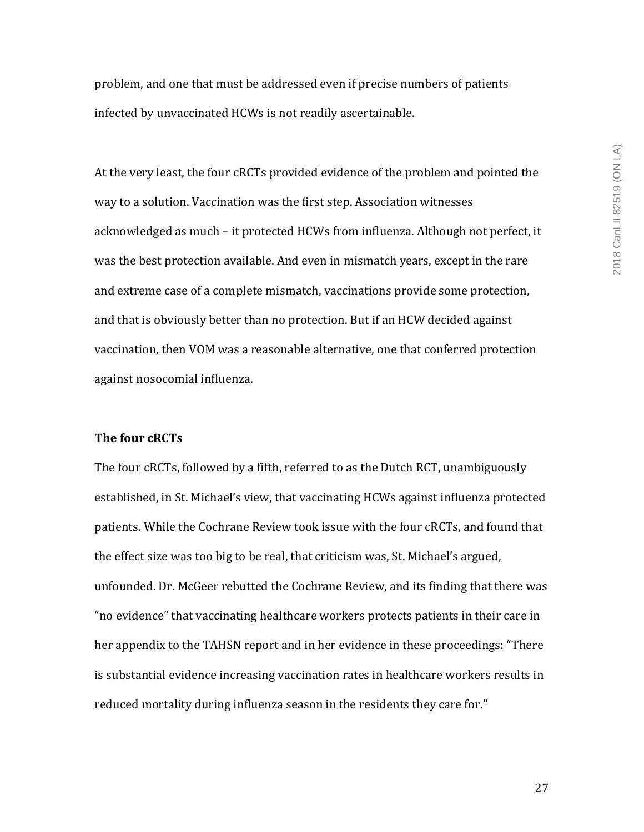problem, and one that must be addressed even if precise numbers of patients infected by unvaccinated HCWs is not readily ascertainable.

At the very least, the four cRCTs provided evidence of the problem and pointed the way to a solution. Vaccination was the first step. Association witnesses acknowledged as much – it protected HCWs from influenza. Although not perfect, it was the best protection available. And even in mismatch years, except in the rare and extreme case of a complete mismatch, vaccinations provide some protection, and that is obviously better than no protection. But if an HCW decided against vaccination, then VOM was a reasonable alternative, one that conferred protection against nosocomial influenza.

## **The four cRCTs**

The four cRCTs, followed by a fifth, referred to as the Dutch RCT, unambiguously established, in St. Michael's view, that vaccinating HCWs against influenza protected patients. While the Cochrane Review took issue with the four cRCTs, and found that the effect size was too big to be real, that criticism was, St. Michael's argued, unfounded. Dr. McGeer rebutted the Cochrane Review, and its finding that there was " no evidence" that vaccinating healthcare workers protects patients in their care in her appendix to the TAHSN report and in her evidence in these proceedings: "There is substantial evidence increasing vaccination rates in healthcare workers results in reduced mortality during influenza season in the residents they care for."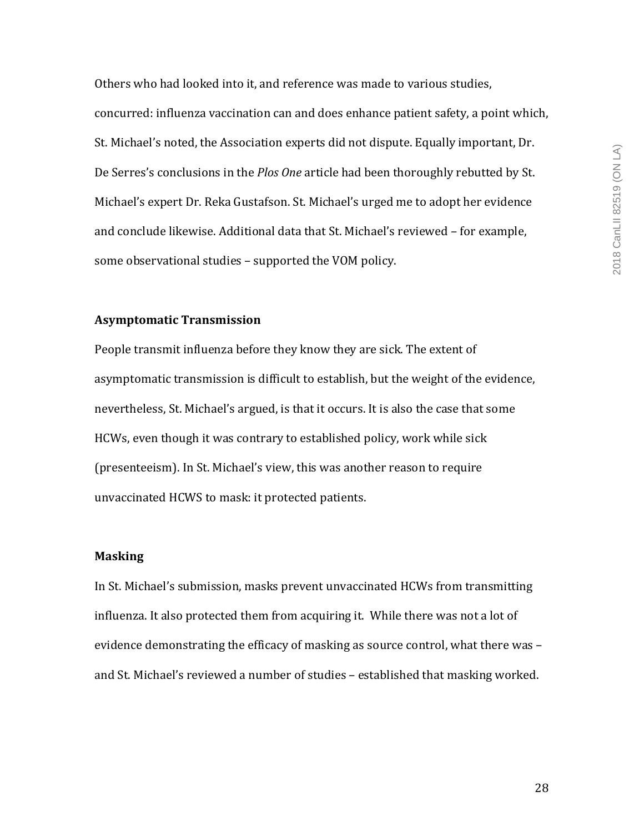Others who had looked into it, and reference was made to various studies, concurred: influenza vaccination can and does enhance patient safety, a point which, St. Michael's noted, the Association experts did not dispute. Equally important, Dr. De Serres's conclusions in the *Plos One* article had been thoroughly rebutted by St. Michael's expert Dr. Reka Gustafson. St. Michael's urged me to adopt her evidence and conclude likewise. Additional data that St. Michael's reviewed - for example, some observational studies - supported the VOM policy.

# **Asymptomatic Transmission**

People transmit influenza before they know they are sick. The extent of asymptomatic transmission is difficult to establish, but the weight of the evidence, nevertheless, St. Michael's argued, is that it occurs. It is also the case that some HCWs, even though it was contrary to established policy, work while sick (presenteeism). In St. Michael's view, this was another reason to require unvaccinated HCWS to mask: it protected patients.

## **Masking**

In St. Michael's submission, masks prevent unvaccinated HCWs from transmitting influenza. It also protected them from acquiring it. While there was not a lot of evidence demonstrating the efficacy of masking as source control, what there was and St. Michael's reviewed a number of studies - established that masking worked.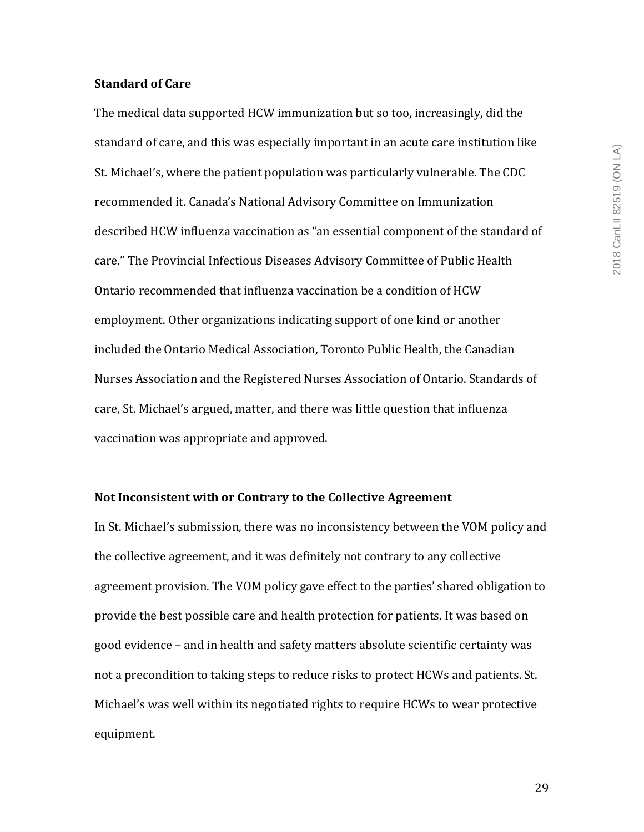#### **Standard of Care**

The medical data supported HCW immunization but so too, increasingly, did the standard of care, and this was especially important in an acute care institution like St. Michael's, where the patient population was particularly vulnerable. The CDC recommended it. Canada's National Advisory Committee on Immunization described HCW influenza vaccination as "an essential component of the standard of care." The Provincial Infectious Diseases Advisory Committee of Public Health Ontario recommended that influenza vaccination be a condition of HCW employment. Other organizations indicating support of one kind or another included the Ontario Medical Association, Toronto Public Health, the Canadian Nurses Association and the Registered Nurses Association of Ontario. Standards of care, St. Michael's argued, matter, and there was little question that influenza vaccination was appropriate and approved.

#### Not Inconsistent with or Contrary to the Collective Agreement

In St. Michael's submission, there was no inconsistency between the VOM policy and the collective agreement, and it was definitely not contrary to any collective agreement provision. The VOM policy gave effect to the parties' shared obligation to provide the best possible care and health protection for patients. It was based on good evidence - and in health and safety matters absolute scientific certainty was not a precondition to taking steps to reduce risks to protect HCWs and patients. St. Michael's was well within its negotiated rights to require HCWs to wear protective equipment.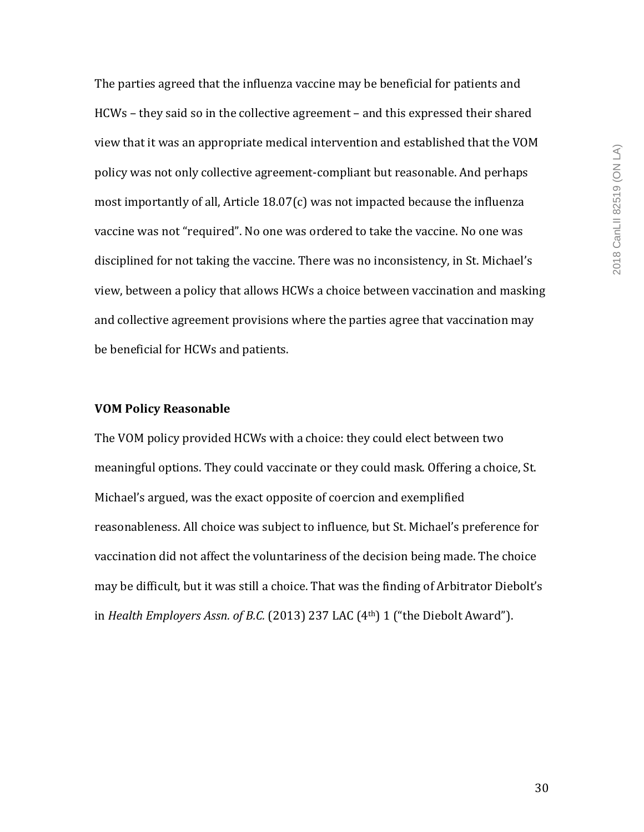The parties agreed that the influenza vaccine may be beneficial for patients and HCWs – they said so in the collective agreement – and this expressed their shared view that it was an appropriate medical intervention and established that the VOM policy was not only collective agreement-compliant but reasonable. And perhaps most importantly of all, Article  $18.07(c)$  was not impacted because the influenza vaccine was not "required". No one was ordered to take the vaccine. No one was disciplined for not taking the vaccine. There was no inconsistency, in St. Michael's view, between a policy that allows HCWs a choice between vaccination and masking and collective agreement provisions where the parties agree that vaccination may be beneficial for HCWs and patients.

#### **VOM Policy Reasonable**

The VOM policy provided HCWs with a choice: they could elect between two meaningful options. They could vaccinate or they could mask. Offering a choice, St. Michael's argued, was the exact opposite of coercion and exemplified reasonableness. All choice was subject to influence, but St. Michael's preference for vaccination did not affect the voluntariness of the decision being made. The choice may be difficult, but it was still a choice. That was the finding of Arbitrator Diebolt's in *Health Employers Assn. of B.C.* (2013) 237 LAC (4<sup>th</sup>) 1 ("the Diebolt Award").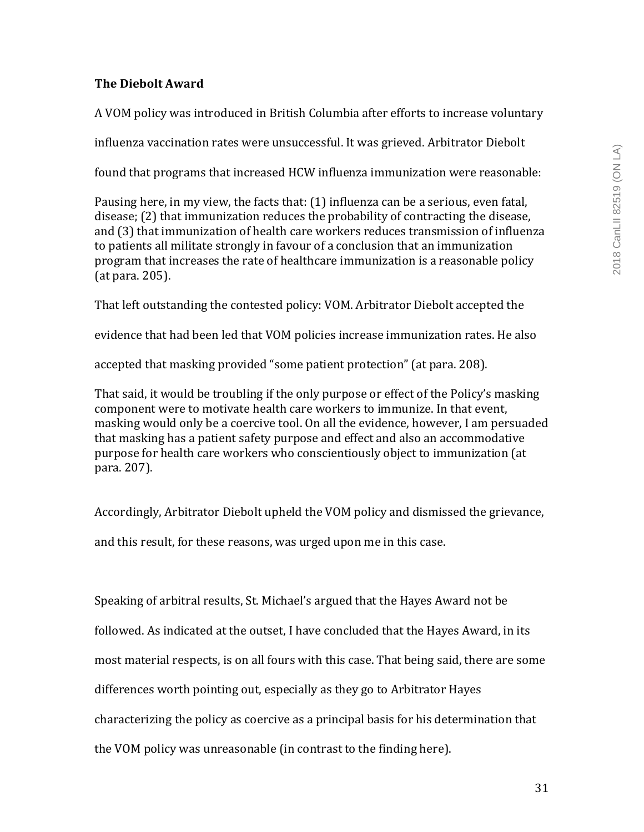# **The Diebolt Award**

A VOM policy was introduced in British Columbia after efforts to increase voluntary

influenza vaccination rates were unsuccessful. It was grieved. Arbitrator Diebolt

found that programs that increased HCW influenza immunization were reasonable:

Pausing here, in my view, the facts that:  $(1)$  influenza can be a serious, even fatal,  $disease$ ; (2) that immunization reduces the probability of contracting the disease, and (3) that immunization of health care workers reduces transmission of influenza to patients all militate strongly in favour of a conclusion that an immunization program that increases the rate of healthcare immunization is a reasonable policy  $(at para. 205).$ 

That left outstanding the contested policy: VOM. Arbitrator Diebolt accepted the

evidence that had been led that VOM policies increase immunization rates. He also

accepted that masking provided "some patient protection" (at para. 208).

That said, it would be troubling if the only purpose or effect of the Policy's masking component were to motivate health care workers to immunize. In that event, masking would only be a coercive tool. On all the evidence, however, I am persuaded that masking has a patient safety purpose and effect and also an accommodative purpose for health care workers who conscientiously object to immunization (at para. 207).

Accordingly, Arbitrator Diebolt upheld the VOM policy and dismissed the grievance,

and this result, for these reasons, was urged upon me in this case.

Speaking of arbitral results, St. Michael's argued that the Hayes Award not be followed. As indicated at the outset, I have concluded that the Hayes Award, in its most material respects, is on all fours with this case. That being said, there are some differences worth pointing out, especially as they go to Arbitrator Hayes characterizing the policy as coercive as a principal basis for his determination that the VOM policy was unreasonable (in contrast to the finding here).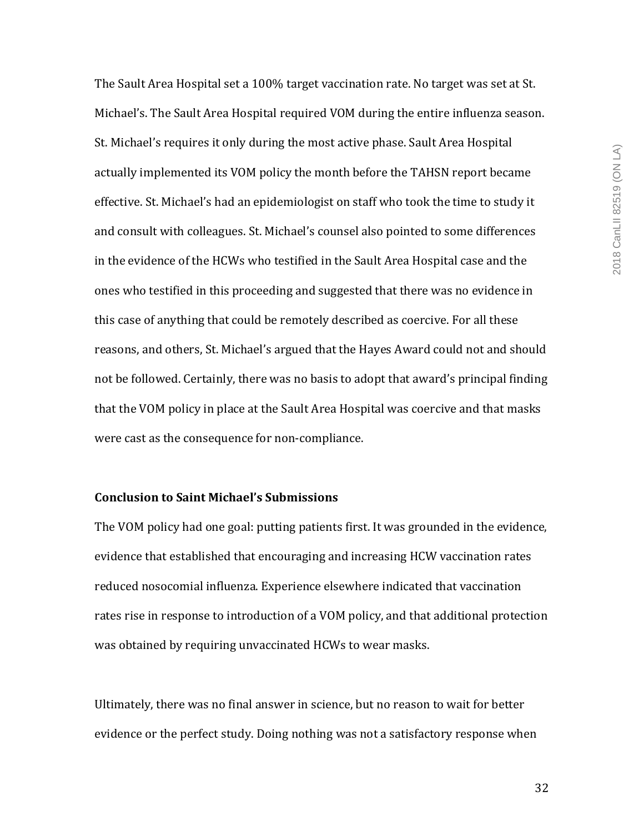The Sault Area Hospital set a 100% target vaccination rate. No target was set at St. Michael's. The Sault Area Hospital required VOM during the entire influenza season. St. Michael's requires it only during the most active phase. Sault Area Hospital actually implemented its VOM policy the month before the TAHSN report became effective. St. Michael's had an epidemiologist on staff who took the time to study it and consult with colleagues. St. Michael's counsel also pointed to some differences in the evidence of the HCWs who testified in the Sault Area Hospital case and the ones who testified in this proceeding and suggested that there was no evidence in this case of anything that could be remotely described as coercive. For all these reasons, and others, St. Michael's argued that the Hayes Award could not and should not be followed. Certainly, there was no basis to adopt that award's principal finding that the VOM policy in place at the Sault Area Hospital was coercive and that masks were cast as the consequence for non-compliance.

# **Conclusion to Saint Michael's Submissions**

The VOM policy had one goal: putting patients first. It was grounded in the evidence, evidence that established that encouraging and increasing HCW vaccination rates reduced nosocomial influenza. Experience elsewhere indicated that vaccination rates rise in response to introduction of a VOM policy, and that additional protection was obtained by requiring unvaccinated HCWs to wear masks.

Ultimately, there was no final answer in science, but no reason to wait for better evidence or the perfect study. Doing nothing was not a satisfactory response when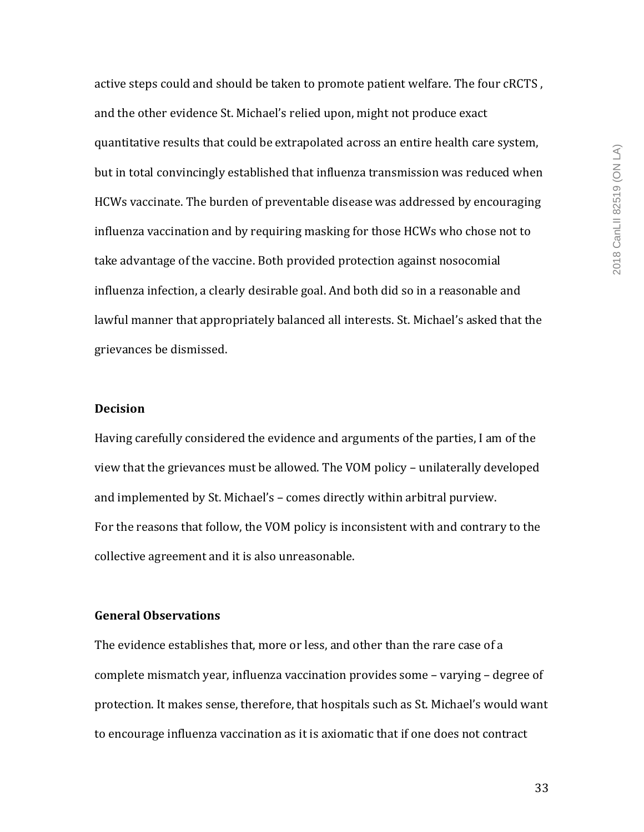active steps could and should be taken to promote patient welfare. The four cRCTS, and the other evidence St. Michael's relied upon, might not produce exact quantitative results that could be extrapolated across an entire health care system, but in total convincingly established that influenza transmission was reduced when HCWs vaccinate. The burden of preventable disease was addressed by encouraging influenza vaccination and by requiring masking for those HCWs who chose not to take advantage of the vaccine. Both provided protection against nosocomial influenza infection, a clearly desirable goal. And both did so in a reasonable and lawful manner that appropriately balanced all interests. St. Michael's asked that the grievances be dismissed.

#### **Decision**

Having carefully considered the evidence and arguments of the parties, I am of the view that the grievances must be allowed. The VOM policy - unilaterally developed and implemented by St. Michael's – comes directly within arbitral purview. For the reasons that follow, the VOM policy is inconsistent with and contrary to the collective agreement and it is also unreasonable.

## **General Observations**

The evidence establishes that, more or less, and other than the rare case of a complete mismatch year, influenza vaccination provides some - varying - degree of protection. It makes sense, therefore, that hospitals such as St. Michael's would want to encourage influenza vaccination as it is axiomatic that if one does not contract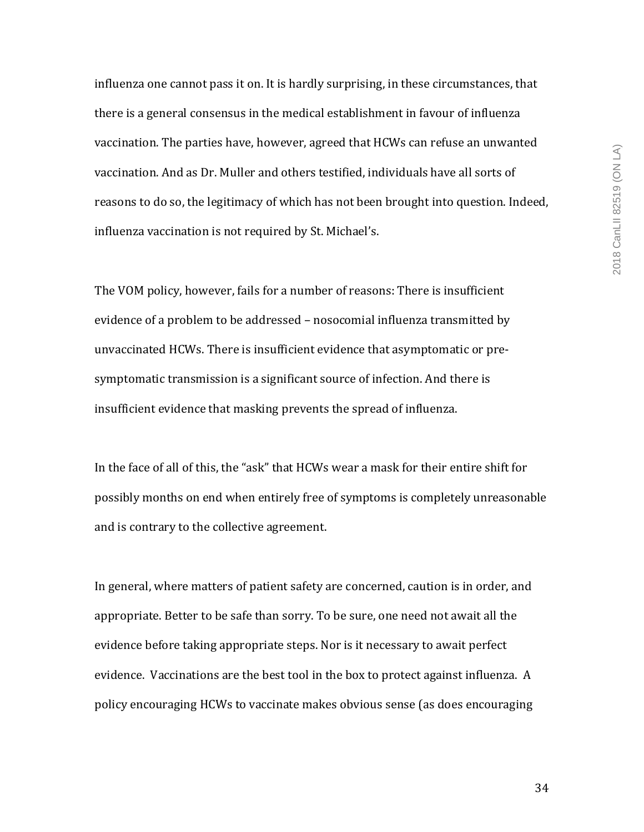influenza one cannot pass it on. It is hardly surprising, in these circumstances, that there is a general consensus in the medical establishment in favour of influenza vaccination. The parties have, however, agreed that HCWs can refuse an unwanted vaccination. And as Dr. Muller and others testified, individuals have all sorts of reasons to do so, the legitimacy of which has not been brought into question. Indeed, influenza vaccination is not required by St. Michael's.

The VOM policy, however, fails for a number of reasons: There is insufficient evidence of a problem to be addressed - nosocomial influenza transmitted by unvaccinated HCWs. There is insufficient evidence that asymptomatic or presymptomatic transmission is a significant source of infection. And there is insufficient evidence that masking prevents the spread of influenza.

In the face of all of this, the "ask" that HCWs wear a mask for their entire shift for possibly months on end when entirely free of symptoms is completely unreasonable and is contrary to the collective agreement.

In general, where matters of patient safety are concerned, caution is in order, and appropriate. Better to be safe than sorry. To be sure, one need not await all the evidence before taking appropriate steps. Nor is it necessary to await perfect evidence. Vaccinations are the best tool in the box to protect against influenza. A policy encouraging HCWs to vaccinate makes obvious sense (as does encouraging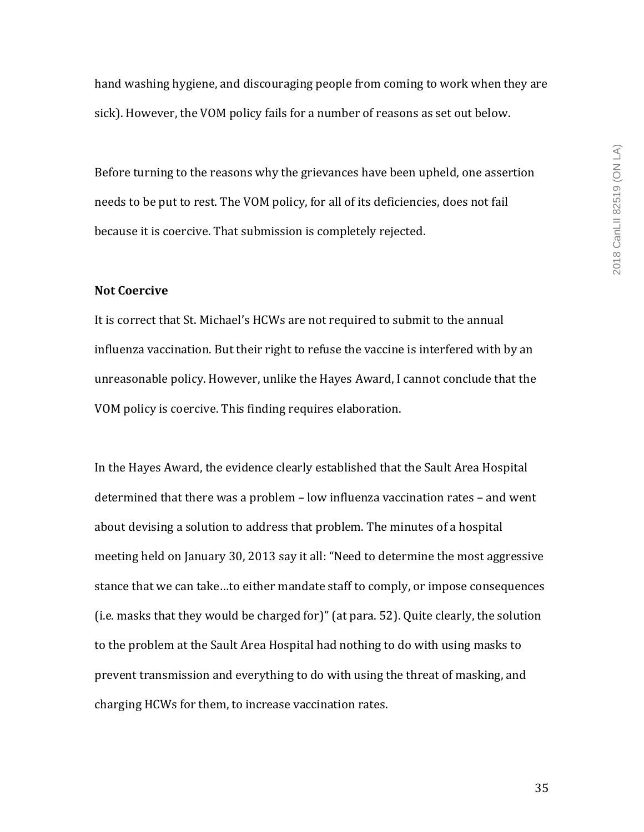hand washing hygiene, and discouraging people from coming to work when they are sick). However, the VOM policy fails for a number of reasons as set out below.

Before turning to the reasons why the grievances have been upheld, one assertion needs to be put to rest. The VOM policy, for all of its deficiencies, does not fail because it is coercive. That submission is completely rejected.

## **Not Coercive**

It is correct that St. Michael's HCWs are not required to submit to the annual influenza vaccination. But their right to refuse the vaccine is interfered with by an unreasonable policy. However, unlike the Hayes Award, I cannot conclude that the VOM policy is coercive. This finding requires elaboration.

In the Hayes Award, the evidence clearly established that the Sault Area Hospital determined that there was a problem  $-$  low influenza vaccination rates  $-$  and went about devising a solution to address that problem. The minutes of a hospital meeting held on January 30, 2013 say it all: "Need to determine the most aggressive stance that we can take...to either mandate staff to comply, or impose consequences (i.e. masks that they would be charged for)" (at para. 52). Quite clearly, the solution to the problem at the Sault Area Hospital had nothing to do with using masks to prevent transmission and everything to do with using the threat of masking, and charging HCWs for them, to increase vaccination rates.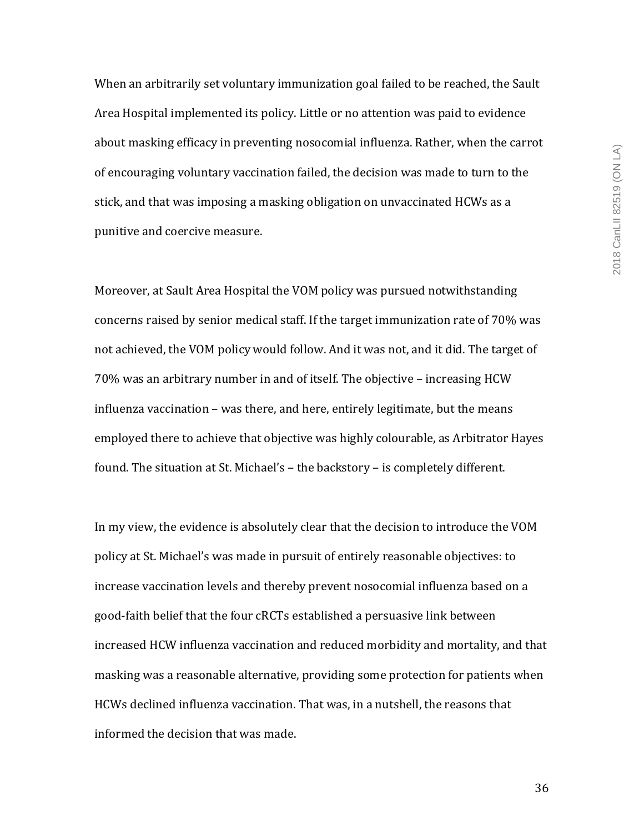When an arbitrarily set voluntary immunization goal failed to be reached, the Sault Area Hospital implemented its policy. Little or no attention was paid to evidence about masking efficacy in preventing nosocomial influenza. Rather, when the carrot of encouraging voluntary vaccination failed, the decision was made to turn to the stick, and that was imposing a masking obligation on unvaccinated HCWs as a punitive and coercive measure.

Moreover, at Sault Area Hospital the VOM policy was pursued notwithstanding concerns raised by senior medical staff. If the target immunization rate of 70% was not achieved, the VOM policy would follow. And it was not, and it did. The target of 70% was an arbitrary number in and of itself. The objective – increasing HCW influenza vaccination - was there, and here, entirely legitimate, but the means employed there to achieve that objective was highly colourable, as Arbitrator Hayes found. The situation at St. Michael's - the backstory - is completely different.

In my view, the evidence is absolutely clear that the decision to introduce the VOM policy at St. Michael's was made in pursuit of entirely reasonable objectives: to increase vaccination levels and thereby prevent nosocomial influenza based on a good-faith belief that the four cRCTs established a persuasive link between increased HCW influenza vaccination and reduced morbidity and mortality, and that masking was a reasonable alternative, providing some protection for patients when HCWs declined influenza vaccination. That was, in a nutshell, the reasons that informed the decision that was made.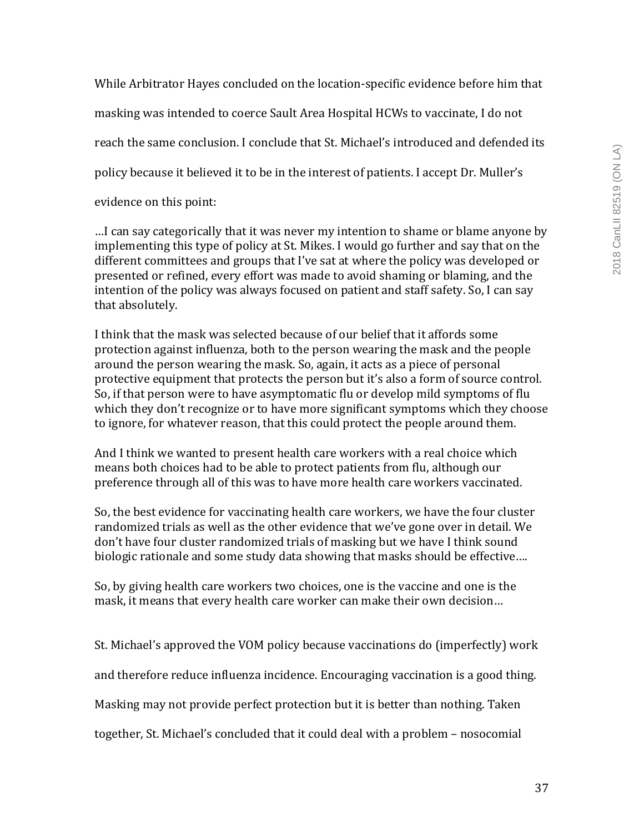While Arbitrator Hayes concluded on the location-specific evidence before him that masking was intended to coerce Sault Area Hospital HCWs to vaccinate, I do not reach the same conclusion. I conclude that St. Michael's introduced and defended its policy because it believed it to be in the interest of patients. I accept Dr. Muller's evidence on this point:

...I can say categorically that it was never my intention to shame or blame anyone by implementing this type of policy at St. Mikes. I would go further and say that on the different committees and groups that I've sat at where the policy was developed or presented or refined, every effort was made to avoid shaming or blaming, and the intention of the policy was always focused on patient and staff safety. So, I can say that absolutely.

I think that the mask was selected because of our belief that it affords some protection against influenza, both to the person wearing the mask and the people around the person wearing the mask. So, again, it acts as a piece of personal protective equipment that protects the person but it's also a form of source control. So, if that person were to have asymptomatic flu or develop mild symptoms of flu which they don't recognize or to have more significant symptoms which they choose to ignore, for whatever reason, that this could protect the people around them.

And I think we wanted to present health care workers with a real choice which means both choices had to be able to protect patients from flu, although our preference through all of this was to have more health care workers vaccinated.

So, the best evidence for vaccinating health care workers, we have the four cluster randomized trials as well as the other evidence that we've gone over in detail. We don't have four cluster randomized trials of masking but we have I think sound biologic rationale and some study data showing that masks should be effective....

So, by giving health care workers two choices, one is the vaccine and one is the mask, it means that every health care worker can make their own decision...

St. Michael's approved the VOM policy because vaccinations do (imperfectly) work

and therefore reduce influenza incidence. Encouraging vaccination is a good thing.

Masking may not provide perfect protection but it is better than nothing. Taken

together, St. Michael's concluded that it could deal with a problem - nosocomial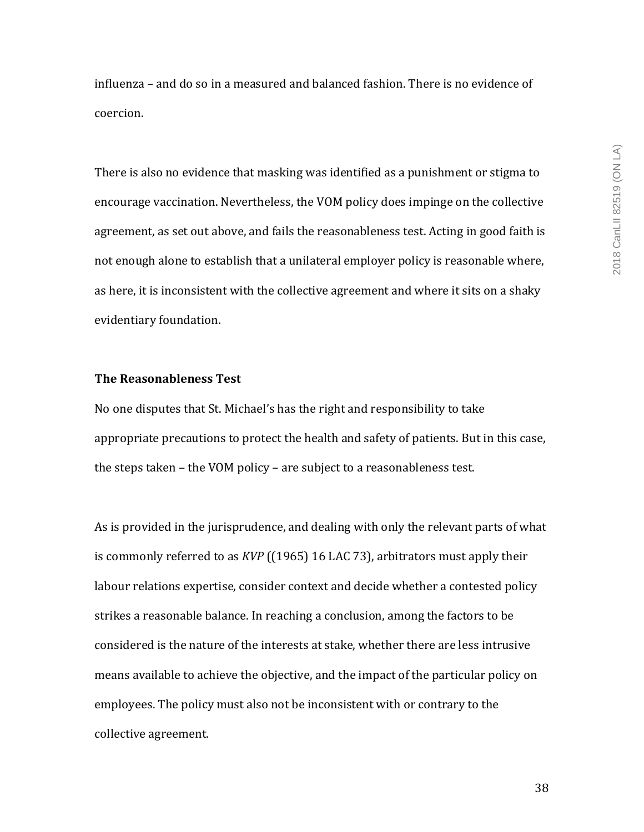influenza – and do so in a measured and balanced fashion. There is no evidence of coercion. 

There is also no evidence that masking was identified as a punishment or stigma to encourage vaccination. Nevertheless, the VOM policy does impinge on the collective agreement, as set out above, and fails the reasonableness test. Acting in good faith is not enough alone to establish that a unilateral employer policy is reasonable where, as here, it is inconsistent with the collective agreement and where it sits on a shaky evidentiary foundation.

## **The Reasonableness Test**

No one disputes that St. Michael's has the right and responsibility to take appropriate precautions to protect the health and safety of patients. But in this case, the steps taken – the VOM policy – are subject to a reasonableness test.

As is provided in the jurisprudence, and dealing with only the relevant parts of what is commonly referred to as *KVP* ((1965) 16 LAC 73), arbitrators must apply their labour relations expertise, consider context and decide whether a contested policy strikes a reasonable balance. In reaching a conclusion, among the factors to be considered is the nature of the interests at stake, whether there are less intrusive means available to achieve the objective, and the impact of the particular policy on employees. The policy must also not be inconsistent with or contrary to the collective agreement.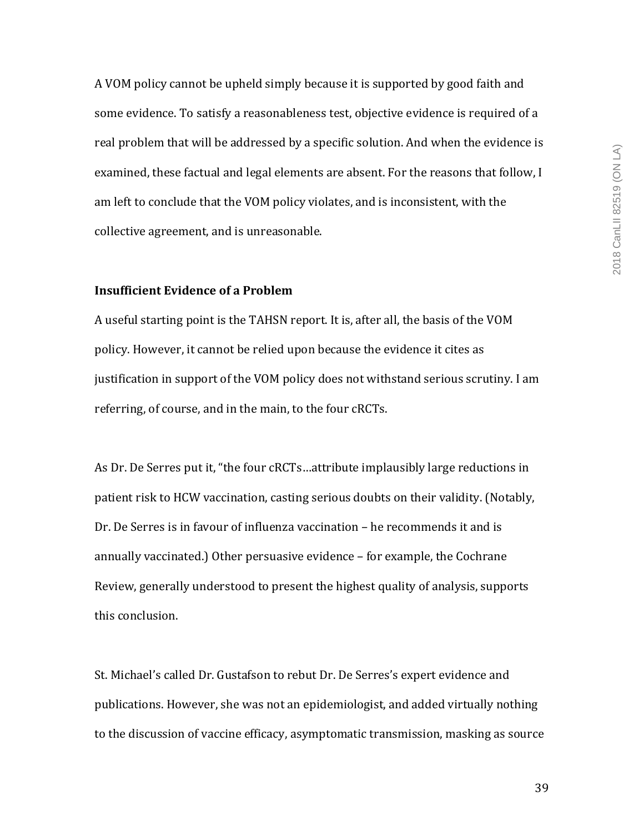A VOM policy cannot be upheld simply because it is supported by good faith and some evidence. To satisfy a reasonableness test, objective evidence is required of a real problem that will be addressed by a specific solution. And when the evidence is examined, these factual and legal elements are absent. For the reasons that follow, I am left to conclude that the VOM policy violates, and is inconsistent, with the collective agreement, and is unreasonable.

# **Insufficient Evidence of a Problem**

A useful starting point is the TAHSN report. It is, after all, the basis of the VOM policy. However, it cannot be relied upon because the evidence it cites as justification in support of the VOM policy does not withstand serious scrutiny. I am referring, of course, and in the main, to the four cRCTs.

As Dr. De Serres put it, "the four cRCTs...attribute implausibly large reductions in patient risk to HCW vaccination, casting serious doubts on their validity. (Notably, Dr. De Serres is in favour of influenza vaccination – he recommends it and is annually vaccinated.) Other persuasive evidence - for example, the Cochrane Review, generally understood to present the highest quality of analysis, supports this conclusion.

St. Michael's called Dr. Gustafson to rebut Dr. De Serres's expert evidence and publications. However, she was not an epidemiologist, and added virtually nothing to the discussion of vaccine efficacy, asymptomatic transmission, masking as source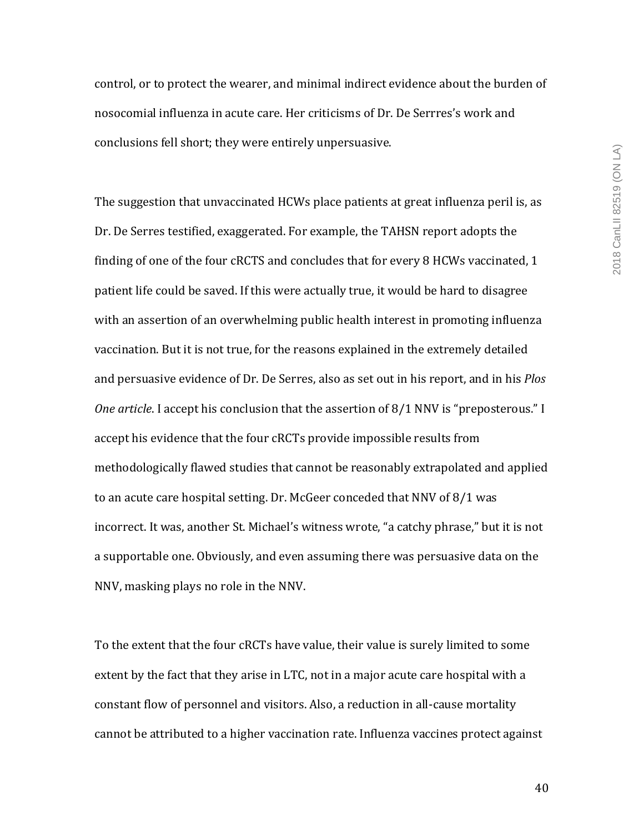control, or to protect the wearer, and minimal indirect evidence about the burden of nosocomial influenza in acute care. Her criticisms of Dr. De Serrres's work and conclusions fell short; they were entirely unpersuasive.

The suggestion that unvaccinated HCWs place patients at great influenza peril is, as Dr. De Serres testified, exaggerated. For example, the TAHSN report adopts the finding of one of the four cRCTS and concludes that for every 8 HCWs vaccinated, 1 patient life could be saved. If this were actually true, it would be hard to disagree with an assertion of an overwhelming public health interest in promoting influenza vaccination. But it is not true, for the reasons explained in the extremely detailed and persuasive evidence of Dr. De Serres, also as set out in his report, and in his *Plos One article*. I accept his conclusion that the assertion of 8/1 NNV is "preposterous." I accept his evidence that the four cRCTs provide impossible results from methodologically flawed studies that cannot be reasonably extrapolated and applied to an acute care hospital setting. Dr. McGeer conceded that NNV of 8/1 was incorrect. It was, another St. Michael's witness wrote, "a catchy phrase," but it is not a supportable one. Obviously, and even assuming there was persuasive data on the NNV, masking plays no role in the NNV.

To the extent that the four cRCTs have value, their value is surely limited to some extent by the fact that they arise in LTC, not in a major acute care hospital with a constant flow of personnel and visitors. Also, a reduction in all-cause mortality cannot be attributed to a higher vaccination rate. Influenza vaccines protect against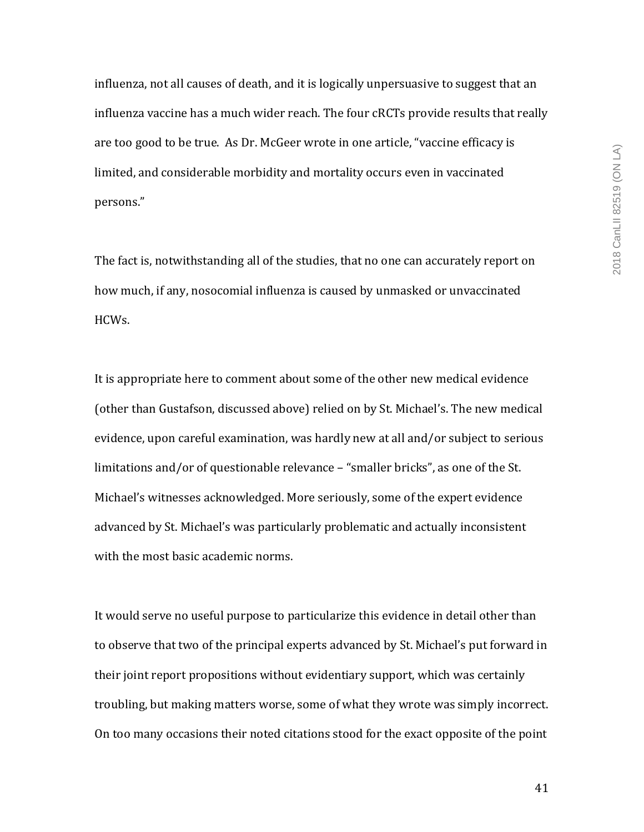influenza, not all causes of death, and it is logically unpersuasive to suggest that an influenza vaccine has a much wider reach. The four cRCTs provide results that really are too good to be true. As Dr. McGeer wrote in one article, "vaccine efficacy is limited, and considerable morbidity and mortality occurs even in vaccinated persons."

The fact is, notwithstanding all of the studies, that no one can accurately report on how much, if any, nosocomial influenza is caused by unmasked or unvaccinated HCWs. 

It is appropriate here to comment about some of the other new medical evidence (other than Gustafson, discussed above) relied on by St. Michael's. The new medical evidence, upon careful examination, was hardly new at all and/or subject to serious limitations and/or of questionable relevance - "smaller bricks", as one of the St. Michael's witnesses acknowledged. More seriously, some of the expert evidence advanced by St. Michael's was particularly problematic and actually inconsistent with the most basic academic norms.

It would serve no useful purpose to particularize this evidence in detail other than to observe that two of the principal experts advanced by St. Michael's put forward in their joint report propositions without evidentiary support, which was certainly troubling, but making matters worse, some of what they wrote was simply incorrect. On too many occasions their noted citations stood for the exact opposite of the point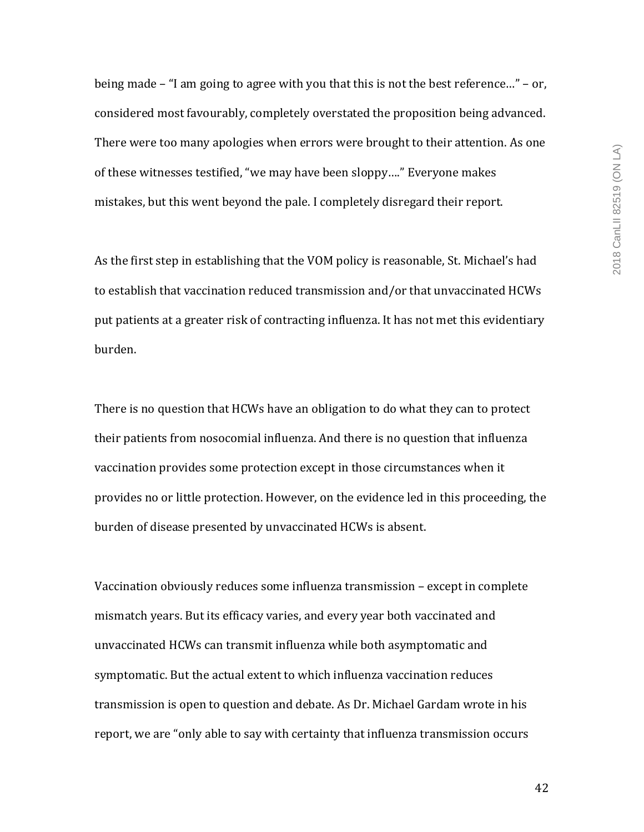being made  $-$  "I am going to agree with you that this is not the best reference..."  $-$  or, considered most favourably, completely overstated the proposition being advanced. There were too many apologies when errors were brought to their attention. As one of these witnesses testified, "we may have been sloppy...." Everyone makes mistakes, but this went beyond the pale. I completely disregard their report.

As the first step in establishing that the VOM policy is reasonable, St. Michael's had to establish that vaccination reduced transmission and/or that unvaccinated HCWs put patients at a greater risk of contracting influenza. It has not met this evidentiary burden. 

There is no question that HCWs have an obligation to do what they can to protect their patients from nosocomial influenza. And there is no question that influenza vaccination provides some protection except in those circumstances when it provides no or little protection. However, on the evidence led in this proceeding, the burden of disease presented by unvaccinated HCWs is absent.

Vaccination obviously reduces some influenza transmission - except in complete mismatch years. But its efficacy varies, and every year both vaccinated and unvaccinated HCWs can transmit influenza while both asymptomatic and symptomatic. But the actual extent to which influenza vaccination reduces transmission is open to question and debate. As Dr. Michael Gardam wrote in his report, we are "only able to say with certainty that influenza transmission occurs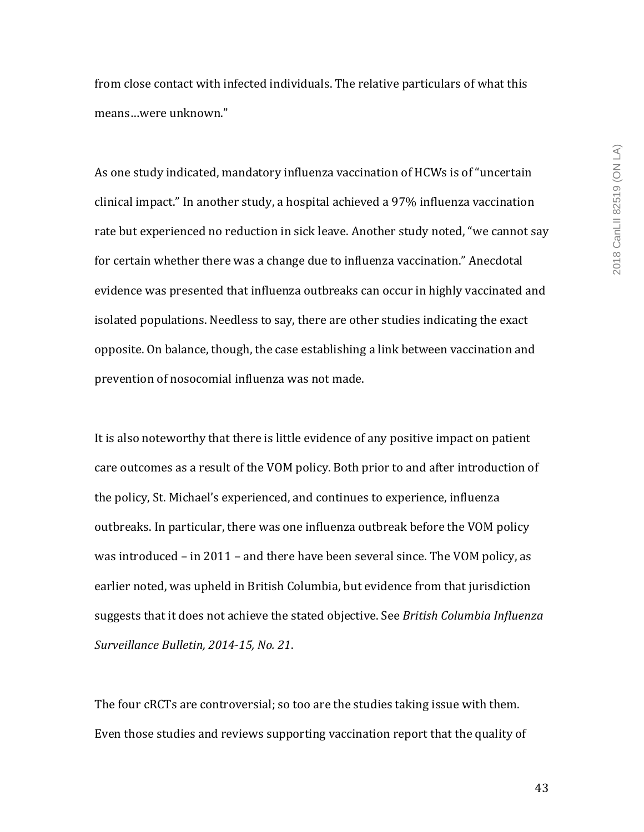from close contact with infected individuals. The relative particulars of what this means...were unknown."

As one study indicated, mandatory influenza vaccination of HCWs is of "uncertain clinical impact." In another study, a hospital achieved a 97% influenza vaccination rate but experienced no reduction in sick leave. Another study noted, "we cannot say for certain whether there was a change due to influenza vaccination." Anecdotal evidence was presented that influenza outbreaks can occur in highly vaccinated and isolated populations. Needless to say, there are other studies indicating the exact opposite. On balance, though, the case establishing a link between vaccination and prevention of nosocomial influenza was not made.

It is also noteworthy that there is little evidence of any positive impact on patient care outcomes as a result of the VOM policy. Both prior to and after introduction of the policy, St. Michael's experienced, and continues to experience, influenza outbreaks. In particular, there was one influenza outbreak before the VOM policy was introduced  $-$  in 2011  $-$  and there have been several since. The VOM policy, as earlier noted, was upheld in British Columbia, but evidence from that jurisdiction suggests that it does not achieve the stated objective. See *British Columbia Influenza Surveillance Bulletin, 2014-15, No. 21*. 

The four cRCTs are controversial; so too are the studies taking issue with them. Even those studies and reviews supporting vaccination report that the quality of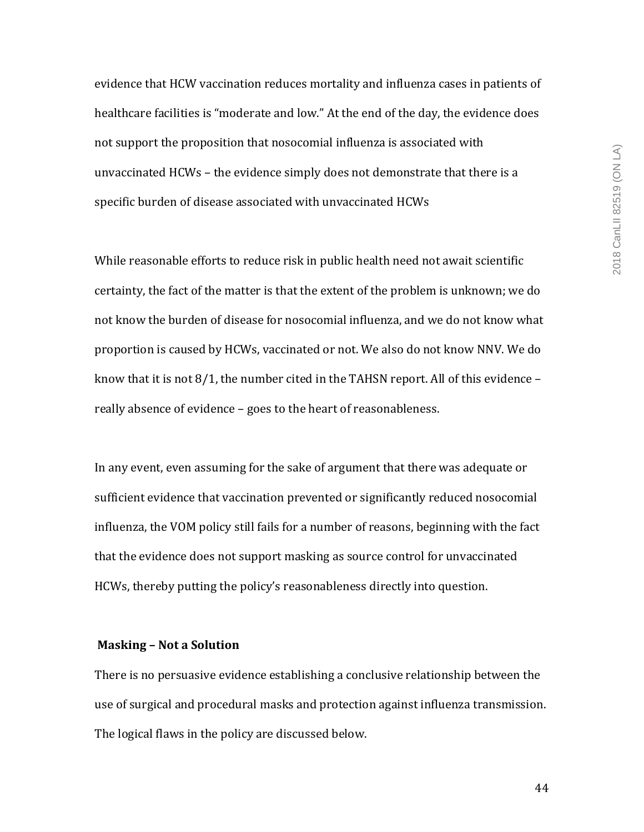evidence that HCW vaccination reduces mortality and influenza cases in patients of healthcare facilities is "moderate and low." At the end of the day, the evidence does not support the proposition that nosocomial influenza is associated with unvaccinated  $HCWs -$  the evidence simply does not demonstrate that there is a specific burden of disease associated with unvaccinated HCWs

While reasonable efforts to reduce risk in public health need not await scientific certainty, the fact of the matter is that the extent of the problem is unknown; we do not know the burden of disease for nosocomial influenza, and we do not know what proportion is caused by HCWs, vaccinated or not. We also do not know NNV. We do know that it is not  $8/1$ , the number cited in the TAHSN report. All of this evidence – really absence of evidence - goes to the heart of reasonableness.

In any event, even assuming for the sake of argument that there was adequate or sufficient evidence that vaccination prevented or significantly reduced nosocomial influenza, the VOM policy still fails for a number of reasons, beginning with the fact that the evidence does not support masking as source control for unvaccinated HCWs, thereby putting the policy's reasonableness directly into question.

#### **Masking - Not a Solution**

There is no persuasive evidence establishing a conclusive relationship between the use of surgical and procedural masks and protection against influenza transmission. The logical flaws in the policy are discussed below.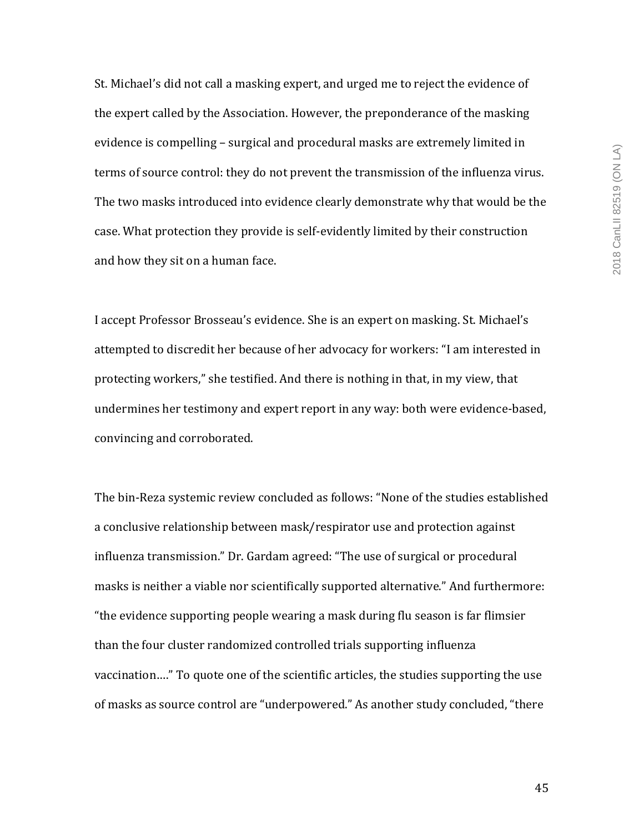St. Michael's did not call a masking expert, and urged me to reject the evidence of the expert called by the Association. However, the preponderance of the masking evidence is compelling - surgical and procedural masks are extremely limited in terms of source control: they do not prevent the transmission of the influenza virus. The two masks introduced into evidence clearly demonstrate why that would be the case. What protection they provide is self-evidently limited by their construction and how they sit on a human face.

I accept Professor Brosseau's evidence. She is an expert on masking. St. Michael's attempted to discredit her because of her advocacy for workers: "I am interested in protecting workers," she testified. And there is nothing in that, in my view, that undermines her testimony and expert report in any way: both were evidence-based, convincing and corroborated.

The bin-Reza systemic review concluded as follows: "None of the studies established a conclusive relationship between mask/respirator use and protection against influenza transmission." Dr. Gardam agreed: "The use of surgical or procedural masks is neither a viable nor scientifically supported alternative." And furthermore: "the evidence supporting people wearing a mask during flu season is far flimsier than the four cluster randomized controlled trials supporting influenza vaccination...." To quote one of the scientific articles, the studies supporting the use of masks as source control are "underpowered." As another study concluded, "there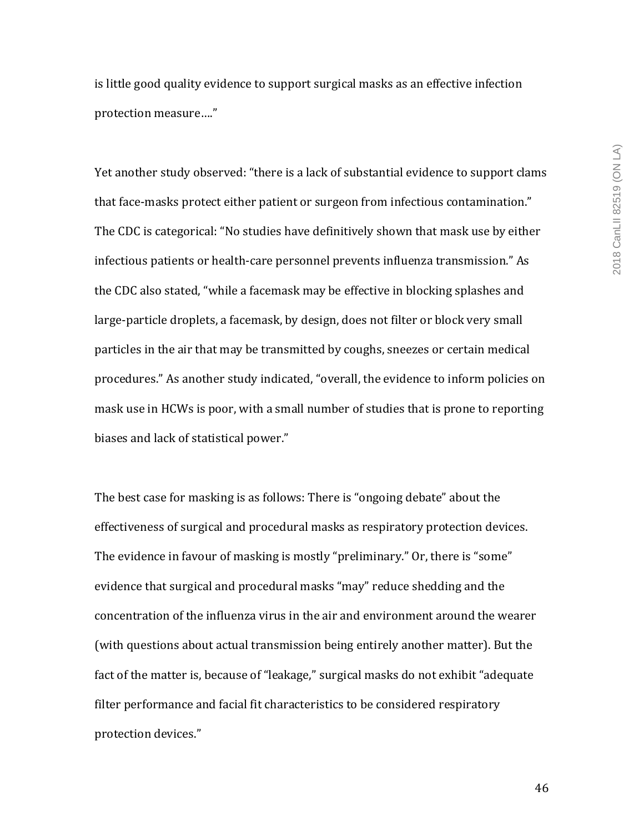is little good quality evidence to support surgical masks as an effective infection protection measure...."

Yet another study observed: "there is a lack of substantial evidence to support clams that face-masks protect either patient or surgeon from infectious contamination." The CDC is categorical: "No studies have definitively shown that mask use by either infectious patients or health-care personnel prevents influenza transmission." As the CDC also stated, "while a facemask may be effective in blocking splashes and large-particle droplets, a facemask, by design, does not filter or block very small particles in the air that may be transmitted by coughs, sneezes or certain medical procedures." As another study indicated, "overall, the evidence to inform policies on mask use in HCWs is poor, with a small number of studies that is prone to reporting biases and lack of statistical power."

The best case for masking is as follows: There is "ongoing debate" about the effectiveness of surgical and procedural masks as respiratory protection devices. The evidence in favour of masking is mostly "preliminary." Or, there is "some" evidence that surgical and procedural masks "may" reduce shedding and the concentration of the influenza virus in the air and environment around the wearer (with questions about actual transmission being entirely another matter). But the fact of the matter is, because of "leakage," surgical masks do not exhibit "adequate filter performance and facial fit characteristics to be considered respiratory protection devices."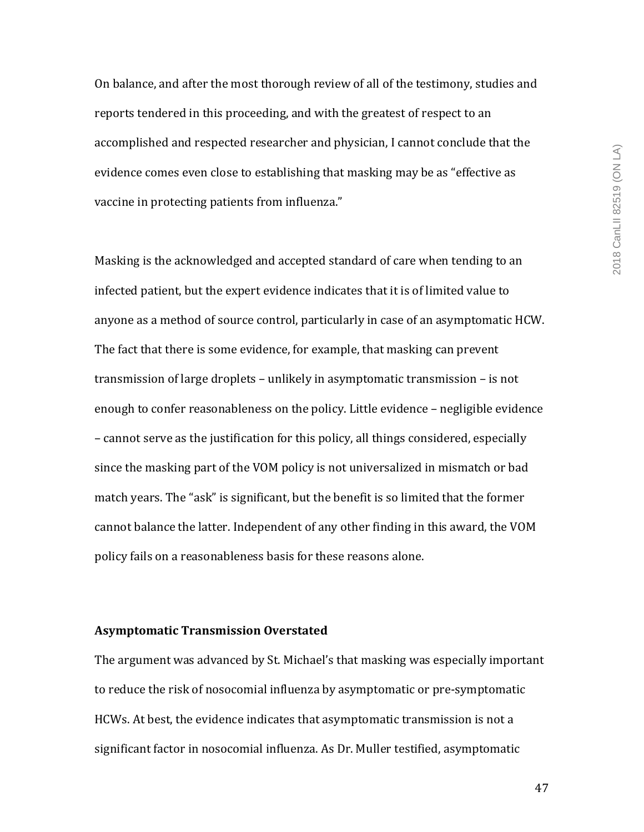On balance, and after the most thorough review of all of the testimony, studies and reports tendered in this proceeding, and with the greatest of respect to an accomplished and respected researcher and physician, I cannot conclude that the evidence comes even close to establishing that masking may be as "effective as vaccine in protecting patients from influenza."

Masking is the acknowledged and accepted standard of care when tending to an infected patient, but the expert evidence indicates that it is of limited value to anyone as a method of source control, particularly in case of an asymptomatic HCW. The fact that there is some evidence, for example, that masking can prevent transmission of large droplets  $-$  unlikely in asymptomatic transmission  $-$  is not enough to confer reasonableness on the policy. Little evidence – negligible evidence – cannot serve as the justification for this policy, all things considered, especially since the masking part of the VOM policy is not universalized in mismatch or bad match years. The "ask" is significant, but the benefit is so limited that the former cannot balance the latter. Independent of any other finding in this award, the VOM policy fails on a reasonableness basis for these reasons alone.

#### **Asymptomatic Transmission Overstated**

The argument was advanced by St. Michael's that masking was especially important to reduce the risk of nosocomial influenza by asymptomatic or pre-symptomatic HCWs. At best, the evidence indicates that asymptomatic transmission is not a significant factor in nosocomial influenza. As Dr. Muller testified, asymptomatic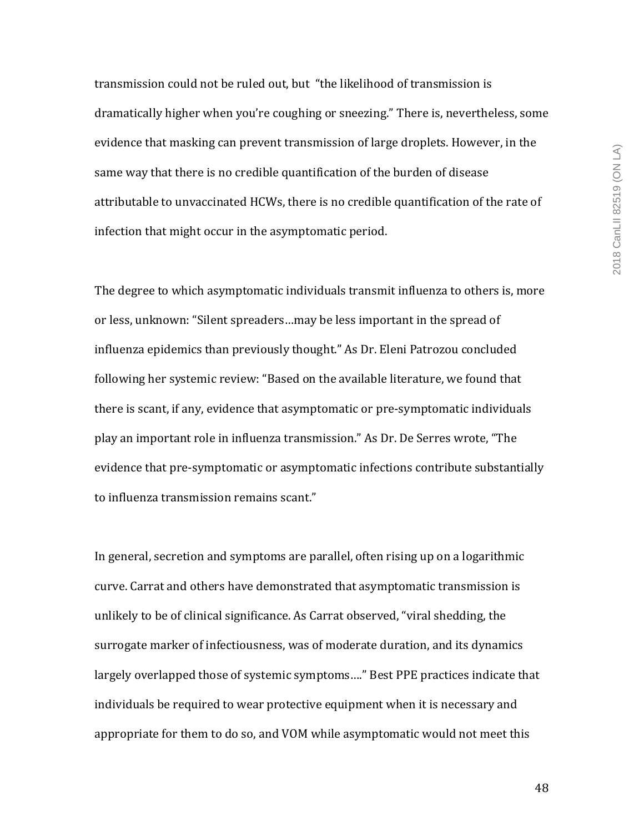transmission could not be ruled out, but "the likelihood of transmission is dramatically higher when you're coughing or sneezing." There is, nevertheless, some evidence that masking can prevent transmission of large droplets. However, in the same way that there is no credible quantification of the burden of disease attributable to unvaccinated HCWs, there is no credible quantification of the rate of infection that might occur in the asymptomatic period.

The degree to which asymptomatic individuals transmit influenza to others is, more or less, unknown: "Silent spreaders...may be less important in the spread of influenza epidemics than previously thought." As Dr. Eleni Patrozou concluded following her systemic review: "Based on the available literature, we found that there is scant, if any, evidence that asymptomatic or pre-symptomatic individuals play an important role in influenza transmission." As Dr. De Serres wrote, "The evidence that pre-symptomatic or asymptomatic infections contribute substantially to influenza transmission remains scant."

In general, secretion and symptoms are parallel, often rising up on a logarithmic curve. Carrat and others have demonstrated that asymptomatic transmission is unlikely to be of clinical significance. As Carrat observed, "viral shedding, the surrogate marker of infectiousness, was of moderate duration, and its dynamics largely overlapped those of systemic symptoms...." Best PPE practices indicate that individuals be required to wear protective equipment when it is necessary and appropriate for them to do so, and VOM while asymptomatic would not meet this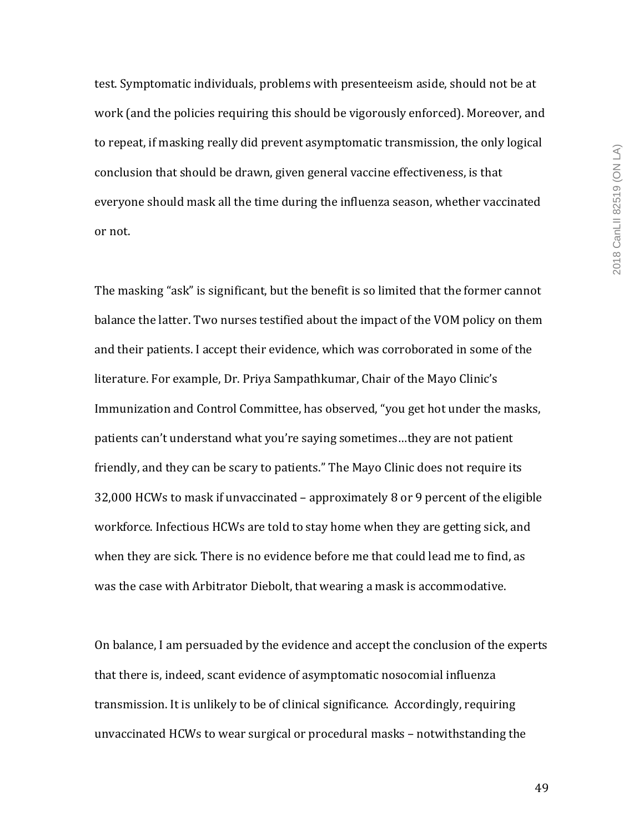test. Symptomatic individuals, problems with presenteeism aside, should not be at work (and the policies requiring this should be vigorously enforced). Moreover, and to repeat, if masking really did prevent asymptomatic transmission, the only logical conclusion that should be drawn, given general vaccine effectiveness, is that everyone should mask all the time during the influenza season, whether vaccinated or not.

The masking "ask" is significant, but the benefit is so limited that the former cannot balance the latter. Two nurses testified about the impact of the VOM policy on them and their patients. I accept their evidence, which was corroborated in some of the literature. For example, Dr. Priya Sampathkumar, Chair of the Mayo Clinic's Immunization and Control Committee, has observed, "you get hot under the masks, patients can't understand what you're saying sometimes...they are not patient friendly, and they can be scary to patients." The Mayo Clinic does not require its 32,000 HCWs to mask if unvaccinated – approximately 8 or 9 percent of the eligible workforce. Infectious HCWs are told to stay home when they are getting sick, and when they are sick. There is no evidence before me that could lead me to find, as was the case with Arbitrator Diebolt, that wearing a mask is accommodative.

On balance, I am persuaded by the evidence and accept the conclusion of the experts that there is, indeed, scant evidence of asymptomatic nosocomial influenza transmission. It is unlikely to be of clinical significance. Accordingly, requiring unvaccinated HCWs to wear surgical or procedural masks - notwithstanding the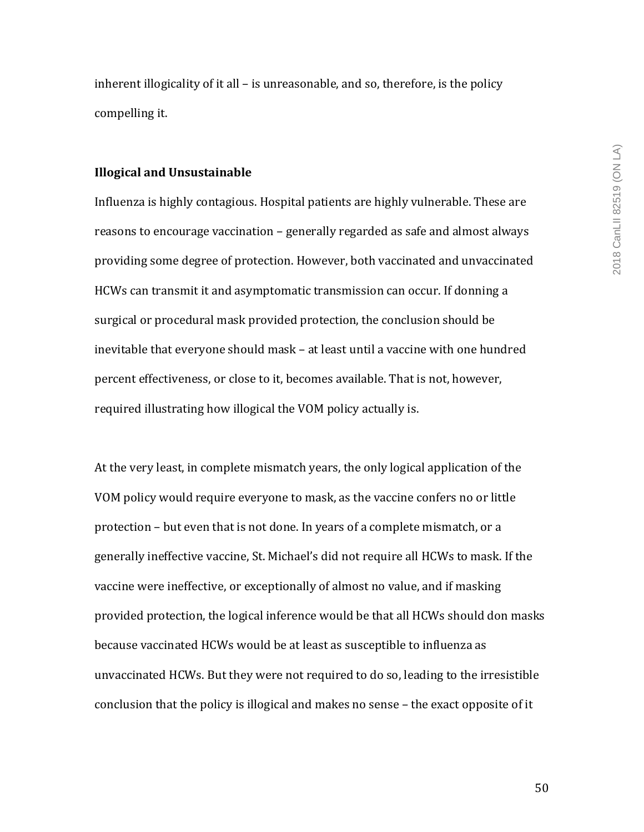inherent illogicality of it all  $-$  is unreasonable, and so, therefore, is the policy compelling it.

#### **Illogical and Unsustainable**

Influenza is highly contagious. Hospital patients are highly vulnerable. These are reasons to encourage vaccination – generally regarded as safe and almost always providing some degree of protection. However, both vaccinated and unvaccinated HCWs can transmit it and asymptomatic transmission can occur. If donning a surgical or procedural mask provided protection, the conclusion should be inevitable that everyone should mask – at least until a vaccine with one hundred percent effectiveness, or close to it, becomes available. That is not, however, required illustrating how illogical the VOM policy actually is.

At the very least, in complete mismatch years, the only logical application of the VOM policy would require everyone to mask, as the vaccine confers no or little protection – but even that is not done. In years of a complete mismatch, or a generally ineffective vaccine, St. Michael's did not require all HCWs to mask. If the vaccine were ineffective, or exceptionally of almost no value, and if masking provided protection, the logical inference would be that all HCWs should don masks because vaccinated HCWs would be at least as susceptible to influenza as unvaccinated HCWs. But they were not required to do so, leading to the irresistible conclusion that the policy is illogical and makes no sense - the exact opposite of it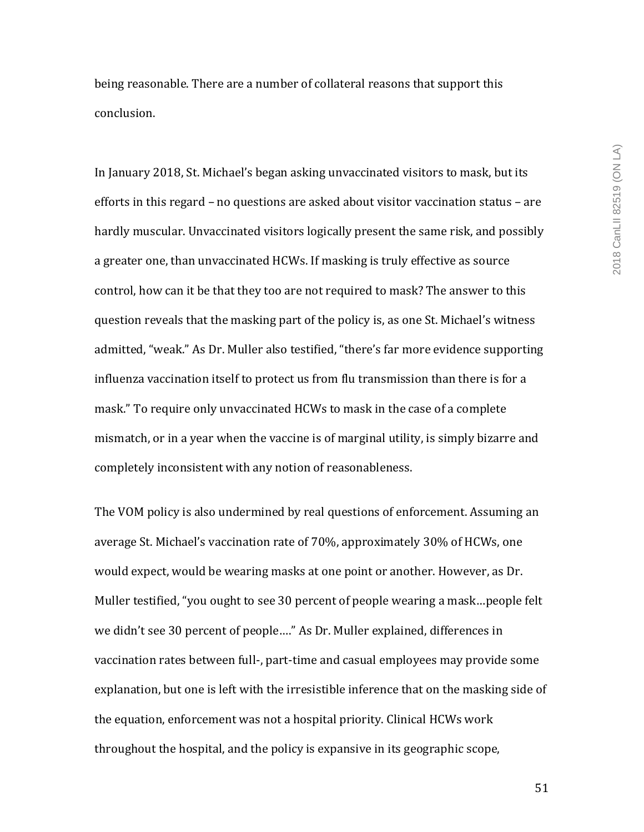being reasonable. There are a number of collateral reasons that support this conclusion.

In January 2018, St. Michael's began asking unvaccinated visitors to mask, but its efforts in this regard  $-$  no questions are asked about visitor vaccination status  $-$  are hardly muscular. Unvaccinated visitors logically present the same risk, and possibly a greater one, than unvaccinated HCWs. If masking is truly effective as source control, how can it be that they too are not required to mask? The answer to this question reveals that the masking part of the policy is, as one St. Michael's witness admitted, "weak." As Dr. Muller also testified, "there's far more evidence supporting influenza vaccination itself to protect us from flu transmission than there is for a mask." To require only unvaccinated HCWs to mask in the case of a complete mismatch, or in a year when the vaccine is of marginal utility, is simply bizarre and completely inconsistent with any notion of reasonableness.

The VOM policy is also undermined by real questions of enforcement. Assuming an average St. Michael's vaccination rate of 70%, approximately 30% of HCWs, one would expect, would be wearing masks at one point or another. However, as Dr. Muller testified, "you ought to see 30 percent of people wearing a mask...people felt we didn't see 30 percent of people...." As Dr. Muller explained, differences in vaccination rates between full-, part-time and casual employees may provide some explanation, but one is left with the irresistible inference that on the masking side of the equation, enforcement was not a hospital priority. Clinical HCWs work throughout the hospital, and the policy is expansive in its geographic scope,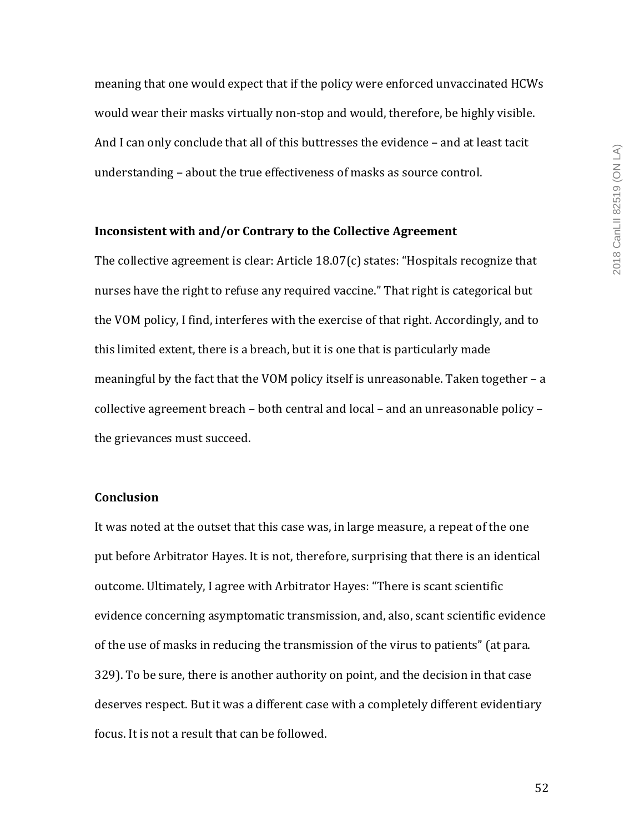meaning that one would expect that if the policy were enforced unvaccinated HCWs would wear their masks virtually non-stop and would, therefore, be highly visible. And I can only conclude that all of this buttresses the evidence - and at least tacit understanding – about the true effectiveness of masks as source control.

# **Inconsistent with and/or Contrary to the Collective Agreement**

The collective agreement is clear: Article  $18.07(c)$  states: "Hospitals recognize that nurses have the right to refuse any required vaccine." That right is categorical but the VOM policy, I find, interferes with the exercise of that right. Accordingly, and to this limited extent, there is a breach, but it is one that is particularly made meaningful by the fact that the VOM policy itself is unreasonable. Taken together  $- a$ collective agreement breach – both central and local – and an unreasonable policy – the grievances must succeed.

# **Conclusion**

It was noted at the outset that this case was, in large measure, a repeat of the one put before Arbitrator Hayes. It is not, therefore, surprising that there is an identical outcome. Ultimately, I agree with Arbitrator Hayes: "There is scant scientific evidence concerning asymptomatic transmission, and, also, scant scientific evidence of the use of masks in reducing the transmission of the virus to patients" (at para. 329). To be sure, there is another authority on point, and the decision in that case deserves respect. But it was a different case with a completely different evidentiary focus. It is not a result that can be followed.